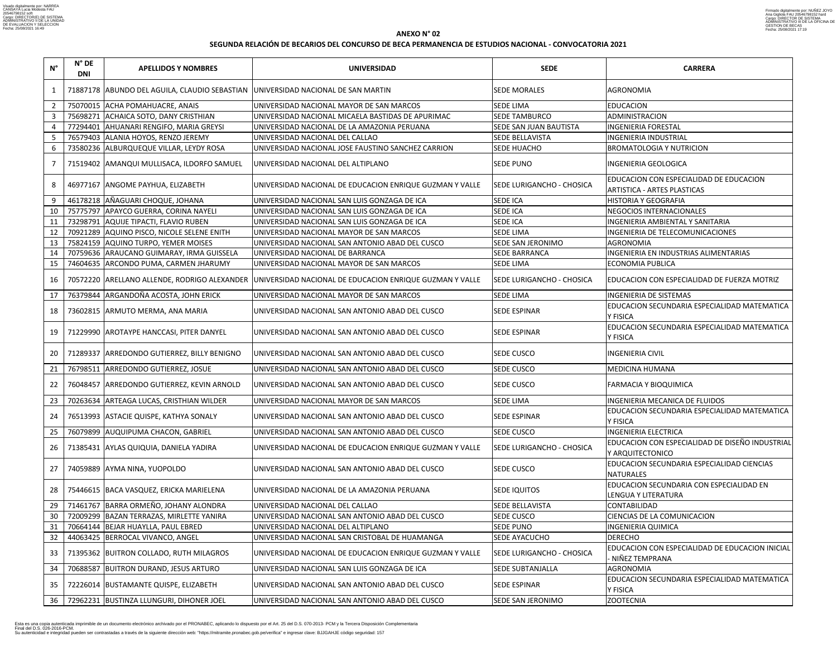| $N^{\circ}$  | $N^{\circ}$ DE<br>DNI | <b>APELLIDOS Y NOMBRES</b>                                                       | <b>UNIVERSIDAD</b>                                                                                    | <b>SEDE</b>                      | <b>CARRERA</b>                                                                |
|--------------|-----------------------|----------------------------------------------------------------------------------|-------------------------------------------------------------------------------------------------------|----------------------------------|-------------------------------------------------------------------------------|
| $\mathbf{1}$ |                       | 71887178 ABUNDO DEL AGUILA, CLAUDIO SEBASTIAN UNIVERSIDAD NACIONAL DE SAN MARTIN |                                                                                                       | <b>SEDE MORALES</b>              | <b>AGRONOMIA</b>                                                              |
|              |                       | 75070015 ACHA POMAHUACRE, ANAIS                                                  | UNIVERSIDAD NACIONAL MAYOR DE SAN MARCOS                                                              | <b>SEDE LIMA</b>                 | <b>EDUCACION</b>                                                              |
| $\mathbf{3}$ |                       | 75698271 ACHAICA SOTO, DANY CRISTHIAN                                            | UNIVERSIDAD NACIONAL MICAELA BASTIDAS DE APURIMAC                                                     | <b>SEDE TAMBURCO</b>             | <b>ADMINISTRACION</b>                                                         |
|              |                       | 77294401 AHUANARI RENGIFO, MARIA GREYSI                                          | UNIVERSIDAD NACIONAL DE LA AMAZONIA PERUANA                                                           | SEDE SAN JUAN BAUTISTA           | <b>INGENIERIA FORESTAL</b>                                                    |
|              |                       | 76579403 ALANIA HOYOS, RENZO JEREMY                                              | UNIVERSIDAD NACIONAL DEL CALLAO                                                                       | SEDE BELLAVISTA                  | <b>INGENIERIA INDUSTRIAL</b>                                                  |
| 6            |                       | 73580236 ALBURQUEQUE VILLAR, LEYDY ROSA                                          | <b>JUNIVERSIDAD NACIONAL JOSE FAUSTINO SANCHEZ CARRION</b>                                            | SEDE HUACHO                      | <b>BROMATOLOGIA Y NUTRICION</b>                                               |
|              |                       | 71519402 AMANQUI MULLISACA, ILDORFO SAMUEL                                       | UNIVERSIDAD NACIONAL DEL ALTIPLANO                                                                    | <b>SEDE PUNO</b>                 | <b>INGENIERIA GEOLOGICA</b>                                                   |
| 8            |                       | 46977167 ANGOME PAYHUA, ELIZABETH                                                | UNIVERSIDAD NACIONAL DE EDUCACION ENRIQUE GUZMAN Y VALLE                                              | SEDE LURIGANCHO - CHOSICA        | EDUCACION CON ESPECIALIDAD DE EDUCACION<br><b>ARTISTICA - ARTES PLASTICAS</b> |
| 9            |                       | 46178218 AÑAGUARI CHOQUE, JOHANA                                                 | UNIVERSIDAD NACIONAL SAN LUIS GONZAGA DE ICA                                                          | <b>SEDE ICA</b>                  | <b>HISTORIA Y GEOGRAFIA</b>                                                   |
| 10           |                       | 75775797 APAYCO GUERRA, CORINA NAYELI                                            | UNIVERSIDAD NACIONAL SAN LUIS GONZAGA DE ICA                                                          | <b>SEDE ICA</b>                  | NEGOCIOS INTERNACIONALES                                                      |
| 11           |                       | 73298791 AQUIJE TIPACTI, FLAVIO RUBEN                                            | JUNIVERSIDAD NACIONAL SAN LUIS GONZAGA DE ICA                                                         | <b>SEDE ICA</b>                  | <b>INGENIERIA AMBIENTAL Y SANITARIA</b>                                       |
| 12           |                       | 70921289 AQUINO PISCO, NICOLE SELENE ENITH                                       | UNIVERSIDAD NACIONAL MAYOR DE SAN MARCOS                                                              | <b>SEDE LIMA</b>                 | INGENIERIA DE TELECOMUNICACIONES                                              |
| 13           |                       | 75824159 AQUINO TURPO, YEMER MOISES                                              | UNIVERSIDAD NACIONAL SAN ANTONIO ABAD DEL CUSCO                                                       | SEDE SAN JERONIMO                | <b>AGRONOMIA</b>                                                              |
| 14           |                       | 70759636 ARAUCANO GUIMARAY, IRMA GUISSELA                                        | UNIVERSIDAD NACIONAL DE BARRANCA                                                                      | <b>SEDE BARRANCA</b>             | INGENIERIA EN INDUSTRIAS ALIMENTARIAS                                         |
| 15           |                       | 74604635 ARCONDO PUMA, CARMEN JHARUMY                                            | UNIVERSIDAD NACIONAL MAYOR DE SAN MARCOS                                                              | <b>SEDE LIMA</b>                 | <b>ECONOMIA PUBLICA</b>                                                       |
| 16           |                       |                                                                                  | 70572220 ARELLANO ALLENDE, RODRIGO ALEXANDER UNIVERSIDAD NACIONAL DE EDUCACION ENRIQUE GUZMAN Y VALLE | SEDE LURIGANCHO - CHOSICA        | EDUCACION CON ESPECIALIDAD DE FUERZA MOTRIZ                                   |
| 17           |                       | 76379844 ARGANDOÑA ACOSTA, JOHN ERICK                                            | UNIVERSIDAD NACIONAL MAYOR DE SAN MARCOS                                                              | <b>SEDE LIMA</b>                 | <b>INGENIERIA DE SISTEMAS</b>                                                 |
| 18           |                       | 73602815 ARMUTO MERMA, ANA MARIA                                                 | UNIVERSIDAD NACIONAL SAN ANTONIO ABAD DEL CUSCO                                                       | <b>SEDE ESPINAR</b>              | EDUCACION SECUNDARIA ESPECIALIDAD MATEMATICA<br>Y FISICA                      |
| 19           |                       | 71229990 AROTAYPE HANCCASI, PITER DANYEL                                         | JUNIVERSIDAD NACIONAL SAN ANTONIO ABAD DEL CUSCO                                                      | <b>SEDE ESPINAR</b>              | EDUCACION SECUNDARIA ESPECIALIDAD MATEMATICA<br>Y FISICA                      |
| 20           |                       | 71289337 ARREDONDO GUTIERREZ, BILLY BENIGNO                                      | JUNIVERSIDAD NACIONAL SAN ANTONIO ABAD DEL CUSCO                                                      | <b>SEDE CUSCO</b>                | <b>INGENIERIA CIVIL</b>                                                       |
| 21           | 76798511              | ARREDONDO GUTIERREZ, JOSUE                                                       | UNIVERSIDAD NACIONAL SAN ANTONIO ABAD DEL CUSCO                                                       | SEDE CUSCO                       | <b>MEDICINA HUMANA</b>                                                        |
| 22           |                       | 76048457 ARREDONDO GUTIERREZ, KEVIN ARNOLD                                       | UNIVERSIDAD NACIONAL SAN ANTONIO ABAD DEL CUSCO                                                       | <b>SEDE CUSCO</b>                | <b>FARMACIA Y BIOQUIMICA</b>                                                  |
| 23           |                       | 70263634 ARTEAGA LUCAS, CRISTHIAN WILDER                                         | UNIVERSIDAD NACIONAL MAYOR DE SAN MARCOS                                                              | <b>SEDE LIMA</b>                 | INGENIERIA MECANICA DE FLUIDOS                                                |
| 24           |                       | 76513993 ASTACIE QUISPE, KATHYA SONALY                                           | UNIVERSIDAD NACIONAL SAN ANTONIO ABAD DEL CUSCO                                                       | <b>SEDE ESPINAR</b>              | EDUCACION SECUNDARIA ESPECIALIDAD MATEMATICA<br>Y FISICA                      |
| 25           |                       | 76079899 AUQUIPUMA CHACON, GABRIEL                                               | UNIVERSIDAD NACIONAL SAN ANTONIO ABAD DEL CUSCO                                                       | SEDE CUSCO                       | <b>INGENIERIA ELECTRICA</b>                                                   |
| 26           |                       | 71385431 AYLAS QUIQUIA, DANIELA YADIRA                                           | UNIVERSIDAD NACIONAL DE EDUCACION ENRIQUE GUZMAN Y VALLE                                              | SEDE LURIGANCHO - CHOSICA        | EDUCACION CON ESPECIALIDAD DE DISEÑO INDUSTRIAL<br>Y ARQUITECTONICO           |
| 27           |                       | 74059889 AYMA NINA, YUOPOLDO                                                     | UNIVERSIDAD NACIONAL SAN ANTONIO ABAD DEL CUSCO                                                       | <b>SEDE CUSCO</b>                | <b>EDUCACION SECUNDARIA ESPECIALIDAD CIENCIAS</b><br><b>NATURALES</b>         |
| 28           |                       | 75446615 BACA VASQUEZ, ERICKA MARIELENA                                          | UNIVERSIDAD NACIONAL DE LA AMAZONIA PERUANA                                                           | <b>SEDE IQUITOS</b>              | EDUCACION SECUNDARIA CON ESPECIALIDAD EN<br>LENGUA Y LITERATURA               |
| 29           |                       | 71461767 BARRA ORMEÑO, JOHANY ALONDRA                                            | UNIVERSIDAD NACIONAL DEL CALLAO                                                                       | SEDE BELLAVISTA                  | <b>CONTABILIDAD</b>                                                           |
| 30           |                       | 72009299 BAZAN TERRAZAS, MIRLETTE YANIRA                                         | UNIVERSIDAD NACIONAL SAN ANTONIO ABAD DEL CUSCO                                                       | <b>SEDE CUSCO</b>                | CIENCIAS DE LA COMUNICACION                                                   |
| 31           |                       | 70664144 BEJAR HUAYLLA, PAUL EBRED                                               | UNIVERSIDAD NACIONAL DEL ALTIPLANO                                                                    | <b>SEDE PUNO</b>                 | <b>INGENIERIA QUIMICA</b>                                                     |
| 32           |                       | 44063425 BERROCAL VIVANCO, ANGEL                                                 | UNIVERSIDAD NACIONAL SAN CRISTOBAL DE HUAMANGA                                                        | SEDE AYACUCHO                    | <b>DERECHO</b>                                                                |
| 33           |                       | 71395362 BUITRON COLLADO, RUTH MILAGROS                                          | UNIVERSIDAD NACIONAL DE EDUCACION ENRIQUE GUZMAN Y VALLE                                              | <b>SEDE LURIGANCHO - CHOSICA</b> | EDUCACION CON ESPECIALIDAD DE EDUCACION INICIAL<br>· NIÑEZ TEMPRANA           |
| 34           |                       | 70688587 BUITRON DURAND, JESUS ARTURO                                            | UNIVERSIDAD NACIONAL SAN LUIS GONZAGA DE ICA                                                          | <b>SEDE SUBTANJALLA</b>          | <b>AGRONOMIA</b>                                                              |
| 35           |                       | 72226014 BUSTAMANTE QUISPE, ELIZABETH                                            | JUNIVERSIDAD NACIONAL SAN ANTONIO ABAD DEL CUSCO                                                      | <b>SEDE ESPINAR</b>              | EDUCACION SECUNDARIA ESPECIALIDAD MATEMATICA<br>Y FISICA                      |
| 36           |                       | 72962231 BUSTINZA LLUNGURI, DIHONER JOEL                                         | UNIVERSIDAD NACIONAL SAN ANTONIO ABAD DEL CUSCO                                                       | <b>SEDE SAN JERONIMO</b>         | <b>ZOOTECNIA</b>                                                              |

Esta es una copia autenticada imprimible de un documento electrónico archivado por el PRONABEC, aplicando lo dispuesto por el Art. 25 del D.S. 070-2013- PCM y la Tercera Disposición Complementaria<br>Final del D.S. 026-2016-P

Firmado digitalmente por: NUNEZ JOYO<br>Ana Gigliola FAU 20546798152 hard<br>Cargo: DIRECTOR DE SISTEMA<br>ADMINISTRATIVO III DE LA OFICINA DE<br>GESTION DE BECAS<br>Fecha: 25/08/2021 17:19

# **ANEXO N° 02 SEGUNDA RELACIÓN DE BECARIOS DEL CONCURSO DE BECA PERMANENCIA DE ESTUDIOS NACIONAL - CONVOCATORIA 2021**

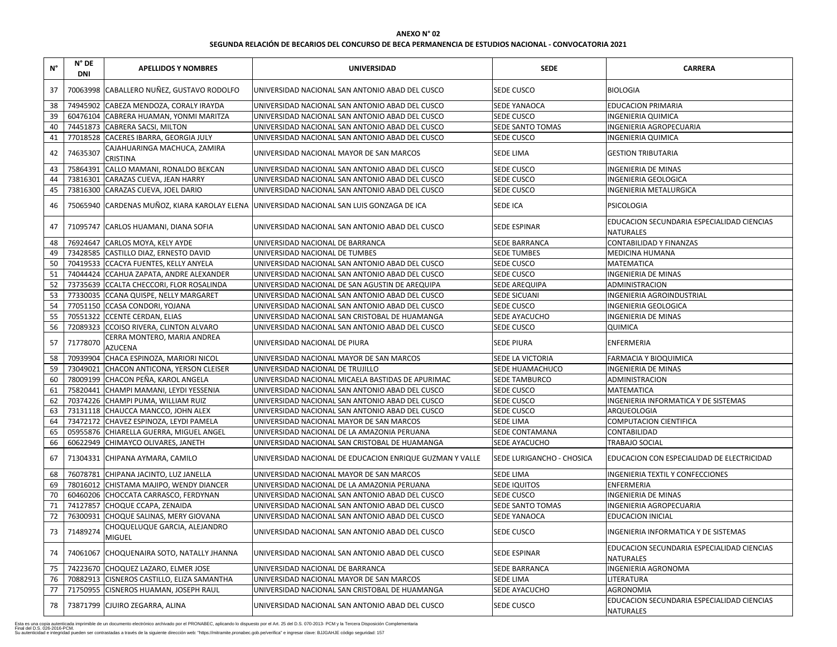| $N^{\circ}$ | $N^{\circ}$ DE<br><b>DNI</b> | <b>APELLIDOS Y NOMBRES</b>                      | <b>UNIVERSIDAD</b>                                                                        | <b>SEDE</b>               | <b>CARRERA</b>                                                 |
|-------------|------------------------------|-------------------------------------------------|-------------------------------------------------------------------------------------------|---------------------------|----------------------------------------------------------------|
| 37          |                              | 70063998 CABALLERO NUÑEZ, GUSTAVO RODOLFO       | UNIVERSIDAD NACIONAL SAN ANTONIO ABAD DEL CUSCO                                           | SEDE CUSCO                | <b>BIOLOGIA</b>                                                |
| 38          |                              | 74945902 CABEZA MENDOZA, CORALY IRAYDA          | UNIVERSIDAD NACIONAL SAN ANTONIO ABAD DEL CUSCO                                           | <b>SEDE YANAOCA</b>       | <b>EDUCACION PRIMARIA</b>                                      |
| 39          |                              | 60476104 CABRERA HUAMAN, YONMI MARITZA          | UNIVERSIDAD NACIONAL SAN ANTONIO ABAD DEL CUSCO                                           | SEDE CUSCO                | <b>INGENIERIA QUIMICA</b>                                      |
| 40          |                              | 74451873 CABRERA SACSI, MILTON                  | UNIVERSIDAD NACIONAL SAN ANTONIO ABAD DEL CUSCO                                           | SEDE SANTO TOMAS          | <b>INGENIERIA AGROPECUARIA</b>                                 |
| 41          |                              | 77018528 CACERES IBARRA, GEORGIA JULY           | UNIVERSIDAD NACIONAL SAN ANTONIO ABAD DEL CUSCO                                           | SEDE CUSCO                | <b>INGENIERIA QUIMICA</b>                                      |
| 42          | 74635307                     | CAJAHUARINGA MACHUCA, ZAMIRA<br><b>CRISTINA</b> | UNIVERSIDAD NACIONAL MAYOR DE SAN MARCOS                                                  | <b>SEDE LIMA</b>          | <b>GESTION TRIBUTARIA</b>                                      |
| 43          |                              | 75864391 CALLO MAMANI, RONALDO BEKCAN           | UNIVERSIDAD NACIONAL SAN ANTONIO ABAD DEL CUSCO                                           | SEDE CUSCO                | <b>INGENIERIA DE MINAS</b>                                     |
| 44          |                              | 73816301 CARAZAS CUEVA, JEAN HARRY              | UNIVERSIDAD NACIONAL SAN ANTONIO ABAD DEL CUSCO                                           | SEDE CUSCO                | <b>INGENIERIA GEOLOGICA</b>                                    |
| 45          |                              | 73816300 CARAZAS CUEVA, JOEL DARIO              | UNIVERSIDAD NACIONAL SAN ANTONIO ABAD DEL CUSCO                                           | SEDE CUSCO                | <b>INGENIERIA METALURGICA</b>                                  |
| 46          |                              |                                                 | 75065940 CARDENAS MUÑOZ, KIARA KAROLAY ELENA UNIVERSIDAD NACIONAL SAN LUIS GONZAGA DE ICA | <b>SEDE ICA</b>           | PSICOLOGIA                                                     |
| 47          |                              | 71095747 CARLOS HUAMANI, DIANA SOFIA            | JUNIVERSIDAD NACIONAL SAN ANTONIO ABAD DEL CUSCO                                          | <b>SEDE ESPINAR</b>       | EDUCACION SECUNDARIA ESPECIALIDAD CIENCIAS<br><b>NATURALES</b> |
| 48          |                              | 76924647 CARLOS MOYA, KELY AYDE                 | UNIVERSIDAD NACIONAL DE BARRANCA                                                          | <b>SEDE BARRANCA</b>      | <b>CONTABILIDAD Y FINANZAS</b>                                 |
| 49          |                              | 73428585 CASTILLO DIAZ, ERNESTO DAVID           | UNIVERSIDAD NACIONAL DE TUMBES                                                            | <b>SEDE TUMBES</b>        | <b>MEDICINA HUMANA</b>                                         |
| 50          |                              | 70419533 CCACYA FUENTES, KELLY ANYELA           | UNIVERSIDAD NACIONAL SAN ANTONIO ABAD DEL CUSCO                                           | SEDE CUSCO                | <b>MATEMATICA</b>                                              |
| 51          |                              | 74044424 CCAHUA ZAPATA, ANDRE ALEXANDER         | UNIVERSIDAD NACIONAL SAN ANTONIO ABAD DEL CUSCO                                           | SEDE CUSCO                | <b>INGENIERIA DE MINAS</b>                                     |
| 52          |                              | 73735639 CCALTA CHECCORI, FLOR ROSALINDA        | UNIVERSIDAD NACIONAL DE SAN AGUSTIN DE AREQUIPA                                           | SEDE AREQUIPA             | ADMINISTRACION                                                 |
| 53          |                              | 77330035 CCANA QUISPE, NELLY MARGARET           | UNIVERSIDAD NACIONAL SAN ANTONIO ABAD DEL CUSCO                                           | <b>SEDE SICUANI</b>       | <b>INGENIERIA AGROINDUSTRIAL</b>                               |
| 54          |                              | 77051150 CCASA CONDORI, YOJANA                  | UNIVERSIDAD NACIONAL SAN ANTONIO ABAD DEL CUSCO                                           | SEDE CUSCO                | <b>INGENIERIA GEOLOGICA</b>                                    |
| 55          |                              | 70551322 CCENTE CERDAN, ELIAS                   | UNIVERSIDAD NACIONAL SAN CRISTOBAL DE HUAMANGA                                            | SEDE AYACUCHO             | <b>INGENIERIA DE MINAS</b>                                     |
| 56          |                              | 72089323 CCOISO RIVERA, CLINTON ALVARO          | UNIVERSIDAD NACIONAL SAN ANTONIO ABAD DEL CUSCO                                           | SEDE CUSCO                | QUIMICA                                                        |
| 57          | 71778070                     | CERRA MONTERO, MARIA ANDREA<br><b>AZUCENA</b>   | UNIVERSIDAD NACIONAL DE PIURA                                                             | <b>SEDE PIURA</b>         | <b>ENFERMERIA</b>                                              |
| 58          |                              | 70939904 CHACA ESPINOZA, MARIORI NICOL          | UNIVERSIDAD NACIONAL MAYOR DE SAN MARCOS                                                  | SEDE LA VICTORIA          | <b>FARMACIA Y BIOQUIMICA</b>                                   |
| 59          |                              | 73049021 CHACON ANTICONA, YERSON CLEISER        | UNIVERSIDAD NACIONAL DE TRUJILLO                                                          | SEDE HUAMACHUCO           | <b>INGENIERIA DE MINAS</b>                                     |
| 60          |                              | 78009199 CHACON PEÑA, KAROL ANGELA              | UNIVERSIDAD NACIONAL MICAELA BASTIDAS DE APURIMAC                                         | <b>SEDE TAMBURCO</b>      | ADMINISTRACION                                                 |
| 61          |                              | 75820441 CHAMPI MAMANI, LEYDI YESSENIA          | UNIVERSIDAD NACIONAL SAN ANTONIO ABAD DEL CUSCO                                           | <b>SEDE CUSCO</b>         | <b>MATEMATICA</b>                                              |
| 62          |                              | 70374226 CHAMPI PUMA, WILLIAM RUIZ              | UNIVERSIDAD NACIONAL SAN ANTONIO ABAD DEL CUSCO                                           | <b>SEDE CUSCO</b>         | INGENIERIA INFORMATICA Y DE SISTEMAS                           |
| 63          |                              | 73131118 CHAUCCA MANCCO, JOHN ALEX              | UNIVERSIDAD NACIONAL SAN ANTONIO ABAD DEL CUSCO                                           | SEDE CUSCO                | ARQUEOLOGIA                                                    |
| 64          |                              | 73472172 CHAVEZ ESPINOZA, LEYDI PAMELA          | UNIVERSIDAD NACIONAL MAYOR DE SAN MARCOS                                                  | SEDE LIMA                 | <b>COMPUTACION CIENTIFICA</b>                                  |
| 65          |                              | 05955876 CHIARELLA GUERRA, MIGUEL ANGEL         | UNIVERSIDAD NACIONAL DE LA AMAZONIA PERUANA                                               | SEDE CONTAMANA            | CONTABILIDAD                                                   |
| 66          |                              | 60622949 CHIMAYCO OLIVARES, JANETH              | UNIVERSIDAD NACIONAL SAN CRISTOBAL DE HUAMANGA                                            | SEDE AYACUCHO             | TRABAJO SOCIAL                                                 |
| 67          |                              | 71304331 CHIPANA AYMARA, CAMILO                 | UNIVERSIDAD NACIONAL DE EDUCACION ENRIQUE GUZMAN Y VALLE                                  | SEDE LURIGANCHO - CHOSICA | EDUCACION CON ESPECIALIDAD DE ELECTRICIDAD                     |
| 68          |                              | 76078781 CHIPANA JACINTO, LUZ JANELLA           | UNIVERSIDAD NACIONAL MAYOR DE SAN MARCOS                                                  | SEDE LIMA                 | <b>INGENIERIA TEXTIL Y CONFECCIONES</b>                        |
| 69          |                              | 78016012 CHISTAMA MAJIPO, WENDY DIANCER         | UNIVERSIDAD NACIONAL DE LA AMAZONIA PERUANA                                               | SEDE IQUITOS              | <b>ENFERMERIA</b>                                              |
| 70          |                              | 60460206 CHOCCATA CARRASCO, FERDYNAN            | UNIVERSIDAD NACIONAL SAN ANTONIO ABAD DEL CUSCO                                           | SEDE CUSCO                | <b>INGENIERIA DE MINAS</b>                                     |
| 71          |                              | 74127857 CHOQUE CCAPA, ZENAIDA                  | UNIVERSIDAD NACIONAL SAN ANTONIO ABAD DEL CUSCO                                           | SEDE SANTO TOMAS          | <b>INGENIERIA AGROPECUARIA</b>                                 |
| 72          |                              | 76300931 CHOQUE SALINAS, MERY GIOVANA           | UNIVERSIDAD NACIONAL SAN ANTONIO ABAD DEL CUSCO                                           | SEDE YANAOCA              | <b>EDUCACION INICIAL</b>                                       |
| 73          | 71489274                     | CHOQUELUQUE GARCIA, ALEJANDRO<br><b>MIGUEL</b>  | JUNIVERSIDAD NACIONAL SAN ANTONIO ABAD DEL CUSCO                                          | <b>SEDE CUSCO</b>         | INGENIERIA INFORMATICA Y DE SISTEMAS                           |
| 74          |                              | 74061067 CHOQUENAIRA SOTO, NATALLY JHANNA       | JUNIVERSIDAD NACIONAL SAN ANTONIO ABAD DEL CUSCO                                          | <b>SEDE ESPINAR</b>       | EDUCACION SECUNDARIA ESPECIALIDAD CIENCIAS<br><b>NATURALES</b> |
| 75          |                              | 74223670 CHOQUEZ LAZARO, ELMER JOSE             | UNIVERSIDAD NACIONAL DE BARRANCA                                                          | SEDE BARRANCA             | <b>INGENIERIA AGRONOMA</b>                                     |
| 76          |                              | 70882913 CISNEROS CASTILLO, ELIZA SAMANTHA      | UNIVERSIDAD NACIONAL MAYOR DE SAN MARCOS                                                  | SEDE LIMA                 | LITERATURA                                                     |
| 77          |                              | 71750955 CISNEROS HUAMAN, JOSEPH RAUL           | UNIVERSIDAD NACIONAL SAN CRISTOBAL DE HUAMANGA                                            | SEDE AYACUCHO             | <b>AGRONOMIA</b>                                               |
| 78          |                              | 73871799 CJUIRO ZEGARRA, ALINA                  | UNIVERSIDAD NACIONAL SAN ANTONIO ABAD DEL CUSCO                                           | <b>SEDE CUSCO</b>         | EDUCACION SECUNDARIA ESPECIALIDAD CIENCIAS<br><b>NATURALES</b> |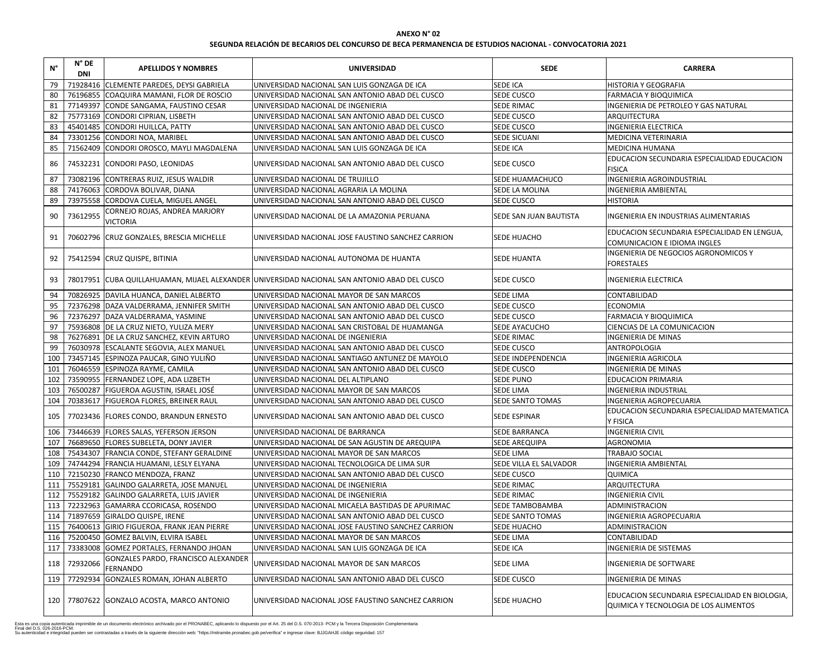| <b>CARRERA</b>                                 |
|------------------------------------------------|
| HISTORIA Y GEOGRAFIA                           |
| <b>FARMACIA Y BIOQUIMICA</b>                   |
| INGENIERIA DE PETROLEO Y GAS NATURAL           |
| ARQUITECTURA                                   |
| INGENIERIA ELECTRICA                           |
| MEDICINA VETERINARIA                           |
| <b>MEDICINA HUMANA</b>                         |
| EDUCACION SECUNDARIA ESPECIALIDAD EDUCACION    |
| <b>FISICA</b>                                  |
| INGENIERIA AGROINDUSTRIAL                      |
| <b>INGENIERIA AMBIENTAL</b>                    |
| <b>HISTORIA</b>                                |
| INGENIERIA EN INDUSTRIAS ALIMENTARIAS          |
| EDUCACION SECUNDARIA ESPECIALIDAD EN LENGUA,   |
| COMUNICACION E IDIOMA INGLES                   |
| INGENIERIA DE NEGOCIOS AGRONOMICOS Y           |
| <b>FORESTALES</b>                              |
| INGENIERIA ELECTRICA                           |
| <b>CONTABILIDAD</b>                            |
| <b>ECONOMIA</b>                                |
| FARMACIA Y BIOQUIMICA                          |
| CIENCIAS DE LA COMUNICACION                    |
| <b>INGENIERIA DE MINAS</b>                     |
| ANTROPOLOGIA                                   |
| INGENIERIA AGRICOLA                            |
| <b>INGENIERIA DE MINAS</b>                     |
| <b>EDUCACION PRIMARIA</b>                      |
| <b>INGENIERIA INDUSTRIAL</b>                   |
| <b>INGENIERIA AGROPECUARIA</b>                 |
| EDUCACION SECUNDARIA ESPECIALIDAD MATEMATICA   |
| Y FISICA                                       |
| <b>INGENIERIA CIVIL</b>                        |
| <b>AGRONOMIA</b>                               |
| <b>TRABAJO SOCIAL</b>                          |
| <b>INGENIERIA AMBIENTAL</b>                    |
| QUIMICA                                        |
| ARQUITECTURA                                   |
| <b>INGENIERIA CIVIL</b>                        |
| ADMINISTRACION                                 |
| INGENIERIA AGROPECUARIA                        |
| ADMINISTRACION                                 |
| CONTABILIDAD                                   |
| <b>INGENIERIA DE SISTEMAS</b>                  |
| <b>INGENIERIA DE SOFTWARE</b>                  |
| INGENIERIA DE MINAS                            |
| EDUCACION SECUNDARIA ESPECIALIDAD EN BIOLOGIA, |
| QUIMICA Y TECNOLOGIA DE LOS ALIMENTOS          |

| $N^{\circ}$ | $N^{\circ}$ DE<br><b>DNI</b> | <b>APELLIDOS Y NOMBRES</b>                       | <b>UNIVERSIDAD</b>                                                                               | <b>SEDE</b>               | <b>CARRERA</b>                                                                         |
|-------------|------------------------------|--------------------------------------------------|--------------------------------------------------------------------------------------------------|---------------------------|----------------------------------------------------------------------------------------|
| 79          |                              | 71928416 CLEMENTE PAREDES, DEYSI GABRIELA        | UNIVERSIDAD NACIONAL SAN LUIS GONZAGA DE ICA                                                     | <b>SEDE ICA</b>           | HISTORIA Y GEOGRAFIA                                                                   |
| 80          |                              | 76196855 COAQUIRA MAMANI, FLOR DE ROSCIO         | UNIVERSIDAD NACIONAL SAN ANTONIO ABAD DEL CUSCO                                                  | SEDE CUSCO                | FARMACIA Y BIOQUIMICA                                                                  |
| 81          |                              | 77149397 CONDE SANGAMA, FAUSTINO CESAR           | UNIVERSIDAD NACIONAL DE INGENIERIA                                                               | <b>SEDE RIMAC</b>         | INGENIERIA DE PETROLEO Y GAS NATURAL                                                   |
| 82          |                              | 75773169 CONDORI CIPRIAN, LISBETH                | UNIVERSIDAD NACIONAL SAN ANTONIO ABAD DEL CUSCO                                                  | <b>SEDE CUSCO</b>         | ARQUITECTURA                                                                           |
| 83          |                              | 45401485 CONDORI HUILLCA, PATTY                  | UNIVERSIDAD NACIONAL SAN ANTONIO ABAD DEL CUSCO                                                  | <b>SEDE CUSCO</b>         | <b>INGENIERIA ELECTRICA</b>                                                            |
| 84          |                              | 73301256 CONDORI NOA, MARIBEL                    | UNIVERSIDAD NACIONAL SAN ANTONIO ABAD DEL CUSCO                                                  | <b>SEDE SICUANI</b>       | MEDICINA VETERINARIA                                                                   |
| 85          |                              | 71562409 CONDORI OROSCO, MAYLI MAGDALENA         | UNIVERSIDAD NACIONAL SAN LUIS GONZAGA DE ICA                                                     | <b>SEDE ICA</b>           | MEDICINA HUMANA                                                                        |
| 86          |                              | 74532231 CONDORI PASO, LEONIDAS                  | UNIVERSIDAD NACIONAL SAN ANTONIO ABAD DEL CUSCO                                                  | <b>SEDE CUSCO</b>         | EDUCACION SECUNDARIA ESPECIALIDAD EDUCACION<br><b>FISICA</b>                           |
| 87          |                              | 73082196 CONTRERAS RUIZ, JESUS WALDIR            | UNIVERSIDAD NACIONAL DE TRUJILLO                                                                 | SEDE HUAMACHUCO           | INGENIERIA AGROINDUSTRIAL                                                              |
| 88          |                              | 74176063 CORDOVA BOLIVAR, DIANA                  | UNIVERSIDAD NACIONAL AGRARIA LA MOLINA                                                           | SEDE LA MOLINA            | <b>INGENIERIA AMBIENTAL</b>                                                            |
| 89          |                              | 73975558 CORDOVA CUELA, MIGUEL ANGEL             | UNIVERSIDAD NACIONAL SAN ANTONIO ABAD DEL CUSCO                                                  | <b>SEDE CUSCO</b>         | <b>HISTORIA</b>                                                                        |
| 90          | 73612955                     | CORNEJO ROJAS, ANDREA MARJORY<br><b>VICTORIA</b> | UNIVERSIDAD NACIONAL DE LA AMAZONIA PERUANA                                                      | SEDE SAN JUAN BAUTISTA    | <b>INGENIERIA EN INDUSTRIAS ALIMENTARIAS</b>                                           |
| 91          |                              | 70602796 CRUZ GONZALES, BRESCIA MICHELLE         | JUNIVERSIDAD NACIONAL JOSE FAUSTINO SANCHEZ CARRION                                              | <b>SEDE HUACHO</b>        | EDUCACION SECUNDARIA ESPECIALIDAD EN LENGUA,<br>COMUNICACION E IDIOMA INGLES           |
| 92          |                              | 75412594 CRUZ QUISPE, BITINIA                    | UNIVERSIDAD NACIONAL AUTONOMA DE HUANTA                                                          | <b>SEDE HUANTA</b>        | INGENIERIA DE NEGOCIOS AGRONOMICOS Y<br><b>FORESTALES</b>                              |
| 93          |                              |                                                  | 78017951   CUBA QUILLAHUAMAN, MIJAEL ALEXANDER   UNIVERSIDAD NACIONAL SAN ANTONIO ABAD DEL CUSCO | <b>SEDE CUSCO</b>         | <b>INGENIERIA ELECTRICA</b>                                                            |
| 94          |                              | 70826925 DAVILA HUANCA, DANIEL ALBERTO           | UNIVERSIDAD NACIONAL MAYOR DE SAN MARCOS                                                         | <b>SEDE LIMA</b>          | CONTABILIDAD                                                                           |
| 95          |                              | 72376298 DAZA VALDERRAMA, JENNIFER SMITH         | UNIVERSIDAD NACIONAL SAN ANTONIO ABAD DEL CUSCO                                                  | <b>SEDE CUSCO</b>         | <b>ECONOMIA</b>                                                                        |
| 96          |                              | 72376297 DAZA VALDERRAMA, YASMINE                | UNIVERSIDAD NACIONAL SAN ANTONIO ABAD DEL CUSCO                                                  | <b>SEDE CUSCO</b>         | <b>FARMACIA Y BIOQUIMICA</b>                                                           |
| 97          |                              | 75936808 DE LA CRUZ NIETO, YULIZA MERY           | UNIVERSIDAD NACIONAL SAN CRISTOBAL DE HUAMANGA                                                   | SEDE AYACUCHO             | CIENCIAS DE LA COMUNICACION                                                            |
| 98          |                              | 76276891   DE LA CRUZ SANCHEZ, KEVIN ARTURO      | UNIVERSIDAD NACIONAL DE INGENIERIA                                                               | <b>SEDE RIMAC</b>         | <b>INGENIERIA DE MINAS</b>                                                             |
| 99          |                              | 76030978 ESCALANTE SEGOVIA, ALEX MANUEL          | UNIVERSIDAD NACIONAL SAN ANTONIO ABAD DEL CUSCO                                                  | <b>SEDE CUSCO</b>         | ANTROPOLOGIA                                                                           |
| 100         |                              | 73457145 ESPINOZA PAUCAR, GINO YULIÑO            | UNIVERSIDAD NACIONAL SANTIAGO ANTUNEZ DE MAYOLO                                                  | <b>SEDE INDEPENDENCIA</b> | <b>INGENIERIA AGRICOLA</b>                                                             |
| 101         |                              | 76046559 ESPINOZA RAYME, CAMILA                  | UNIVERSIDAD NACIONAL SAN ANTONIO ABAD DEL CUSCO                                                  | <b>SEDE CUSCO</b>         | <b>INGENIERIA DE MINAS</b>                                                             |
| 102         |                              | 73590955 FERNANDEZ LOPE, ADA LIZBETH             | UNIVERSIDAD NACIONAL DEL ALTIPLANO                                                               | <b>SEDE PUNO</b>          | <b>EDUCACION PRIMARIA</b>                                                              |
| 103         |                              | 76500287 FIGUEROA AGUSTIN, ISRAEL JOSÉ           | UNIVERSIDAD NACIONAL MAYOR DE SAN MARCOS                                                         | <b>SEDE LIMA</b>          | <b>INGENIERIA INDUSTRIAL</b>                                                           |
| 104         |                              | 70383617 FIGUEROA FLORES, BREINER RAUL           | UNIVERSIDAD NACIONAL SAN ANTONIO ABAD DEL CUSCO                                                  | <b>SEDE SANTO TOMAS</b>   | <b>INGENIERIA AGROPECUARIA</b>                                                         |
| 105         |                              | 77023436 FLORES CONDO, BRANDUN ERNESTO           | UNIVERSIDAD NACIONAL SAN ANTONIO ABAD DEL CUSCO                                                  | <b>SEDE ESPINAR</b>       | EDUCACION SECUNDARIA ESPECIALIDAD MATEMATIC<br>Y FISICA                                |
| 106         |                              | 73446639   FLORES SALAS, YEFERSON JERSON         | UNIVERSIDAD NACIONAL DE BARRANCA                                                                 | <b>SEDE BARRANCA</b>      | <b>INGENIERIA CIVIL</b>                                                                |
| 107         |                              | 76689650 FLORES SUBELETA, DONY JAVIER            | UNIVERSIDAD NACIONAL DE SAN AGUSTIN DE AREQUIPA                                                  | <b>SEDE AREQUIPA</b>      | <b>AGRONOMIA</b>                                                                       |
| 108         |                              | 75434307   FRANCIA CONDE, STEFANY GERALDINE      | UNIVERSIDAD NACIONAL MAYOR DE SAN MARCOS                                                         | <b>SEDE LIMA</b>          | TRABAJO SOCIAL                                                                         |
| 109         |                              | 74744294 FRANCIA HUAMANI, LESLY ELYANA           | UNIVERSIDAD NACIONAL TECNOLOGICA DE LIMA SUR                                                     | SEDE VILLA EL SALVADOR    | <b>INGENIERIA AMBIENTAL</b>                                                            |
| 110         |                              | 72150230 FRANCO MENDOZA, FRANZ                   | UNIVERSIDAD NACIONAL SAN ANTONIO ABAD DEL CUSCO                                                  | SEDE CUSCO                | QUIMICA                                                                                |
| 111         |                              | 75529181 GALINDO GALARRETA, JOSE MANUEL          | UNIVERSIDAD NACIONAL DE INGENIERIA                                                               | <b>SEDE RIMAC</b>         | ARQUITECTURA                                                                           |
| 112         |                              | 75529182 GALINDO GALARRETA, LUIS JAVIER          | UNIVERSIDAD NACIONAL DE INGENIERIA                                                               | <b>SEDE RIMAC</b>         | <b>INGENIERIA CIVIL</b>                                                                |
| 113         |                              | 72232963 GAMARRA CCORICASA, ROSENDO              | UNIVERSIDAD NACIONAL MICAELA BASTIDAS DE APURIMAC                                                | SEDE TAMBOBAMBA           | ADMINISTRACION                                                                         |
| 114         |                              | 71897659 GIRALDO QUISPE, IRENE                   | UNIVERSIDAD NACIONAL SAN ANTONIO ABAD DEL CUSCO                                                  | <b>SEDE SANTO TOMAS</b>   | INGENIERIA AGROPECUARIA                                                                |
| 115         |                              | 76400613 GIRIO FIGUEROA, FRANK JEAN PIERRE       | UNIVERSIDAD NACIONAL JOSE FAUSTINO SANCHEZ CARRION                                               | <b>SEDE HUACHO</b>        | <b>ADMINISTRACION</b>                                                                  |
| 116         |                              | 75200450 GOMEZ BALVIN, ELVIRA ISABEL             | UNIVERSIDAD NACIONAL MAYOR DE SAN MARCOS                                                         | <b>SEDE LIMA</b>          | CONTABILIDAD                                                                           |
| 117         |                              | 73383008 GOMEZ PORTALES, FERNANDO JHOAN          | UNIVERSIDAD NACIONAL SAN LUIS GONZAGA DE ICA                                                     | <b>SEDE ICA</b>           | <b>INGENIERIA DE SISTEMAS</b>                                                          |
|             | 118 72932066                 | GONZALES PARDO, FRANCISCO ALEXANDER<br>FERNANDO  | UNIVERSIDAD NACIONAL MAYOR DE SAN MARCOS                                                         | <b>SEDE LIMA</b>          | <b>INGENIERIA DE SOFTWARE</b>                                                          |
| 119         |                              | 77292934 GONZALES ROMAN, JOHAN ALBERTO           | UNIVERSIDAD NACIONAL SAN ANTONIO ABAD DEL CUSCO                                                  | <b>SEDE CUSCO</b>         | <b>INGENIERIA DE MINAS</b>                                                             |
|             |                              | 120   77807622 GONZALO ACOSTA, MARCO ANTONIO     | UNIVERSIDAD NACIONAL JOSE FAUSTINO SANCHEZ CARRION                                               | <b>SEDE HUACHO</b>        | EDUCACION SECUNDARIA ESPECIALIDAD EN BIOLOGIA<br>QUIMICA Y TECNOLOGIA DE LOS ALIMENTOS |
|             |                              |                                                  |                                                                                                  |                           |                                                                                        |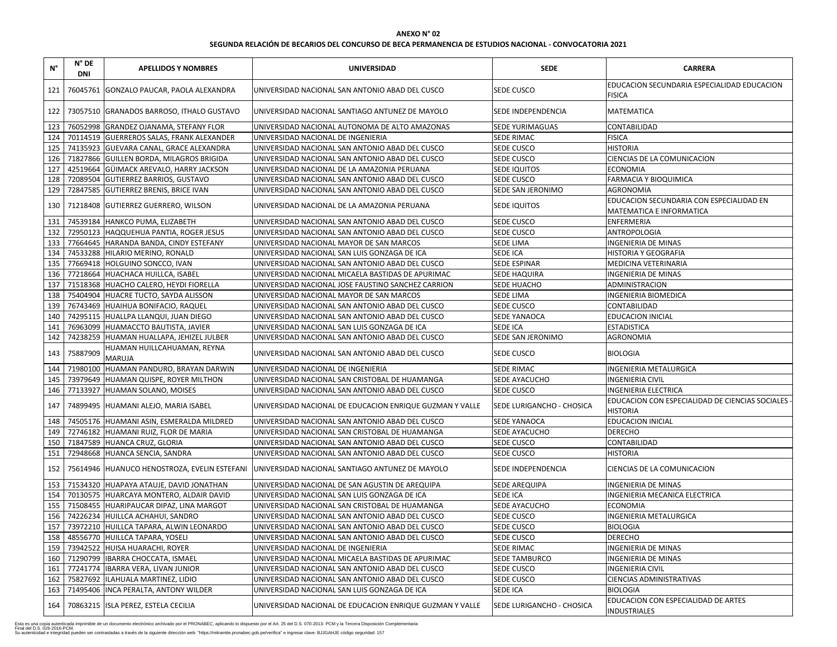# **SEGUNDA RELACIÓN DE BECARIOS DEL CONCURSO DE BECA PERMANENCIA DE ESTUDIOS NACIONAL - CONVOCATORIA 2021**

| $N^{\circ}$ | $N^{\circ}$ DE<br><b>DNI</b> | <b>APELLIDOS Y NOMBRES</b>                   | <b>UNIVERSIDAD</b>                                                                            | <b>SEDE</b>                      | <b>CARRERA</b>                                                       |
|-------------|------------------------------|----------------------------------------------|-----------------------------------------------------------------------------------------------|----------------------------------|----------------------------------------------------------------------|
| 121         |                              | 76045761 GONZALO PAUCAR, PAOLA ALEXANDRA     | JUNIVERSIDAD NACIONAL SAN ANTONIO ABAD DEL CUSCO                                              | <b>SEDE CUSCO</b>                | EDUCACION SECUNDARIA ESPECIALIDAD EDUCACION<br><b>FISICA</b>         |
| 122         |                              | 73057510 GRANADOS BARROSO, ITHALO GUSTAVO    | JUNIVERSIDAD NACIONAL SANTIAGO ANTUNEZ DE MAYOLO                                              | <b>SEDE INDEPENDENCIA</b>        | <b>MATEMATICA</b>                                                    |
| 123         |                              | 76052998 GRANDEZ OJANAMA, STEFANY FLOR       | UNIVERSIDAD NACIONAL AUTONOMA DE ALTO AMAZONAS                                                | <b>SEDE YURIMAGUAS</b>           | <b>CONTABILIDAD</b>                                                  |
| 124         |                              | 70114519 GUERREROS SALAS, FRANK ALEXANDER    | UNIVERSIDAD NACIONAL DE INGENIERIA                                                            | <b>SEDE RIMAC</b>                | <b>FISICA</b>                                                        |
| 125         |                              | 74135923 GUEVARA CANAL, GRACE ALEXANDRA      | UNIVERSIDAD NACIONAL SAN ANTONIO ABAD DEL CUSCO                                               | <b>SEDE CUSCO</b>                | <b>HISTORIA</b>                                                      |
| 126         |                              | 71827866 GUILLEN BORDA, MILAGROS BRIGIDA     | JUNIVERSIDAD NACIONAL SAN ANTONIO ABAD DEL CUSCO                                              | <b>SEDE CUSCO</b>                | CIENCIAS DE LA COMUNICACION                                          |
| 127         |                              | 42519664 GÜIMACK AREVALO, HARRY JACKSON      | UNIVERSIDAD NACIONAL DE LA AMAZONIA PERUANA                                                   | <b>SEDE IQUITOS</b>              | <b>ECONOMIA</b>                                                      |
| 128         |                              | 72089504 GUTIERREZ BARRIOS, GUSTAVO          | UNIVERSIDAD NACIONAL SAN ANTONIO ABAD DEL CUSCO                                               | <b>SEDE CUSCO</b>                | <b>FARMACIA Y BIOQUIMICA</b>                                         |
| 129         |                              | 72847585 GUTIERREZ BRENIS, BRICE IVAN        | UNIVERSIDAD NACIONAL SAN ANTONIO ABAD DEL CUSCO                                               | <b>SEDE SAN JERONIMO</b>         | <b>AGRONOMIA</b>                                                     |
| 130         |                              | 71218408 GUTIERREZ GUERRERO, WILSON          | JUNIVERSIDAD NACIONAL DE LA AMAZONIA PERUANA                                                  | <b>SEDE IQUITOS</b>              | EDUCACION SECUNDARIA CON ESPECIALIDAD EN<br>MATEMATICA E INFORMATICA |
| 131         |                              | 74539184 HANKCO PUMA, ELIZABETH              | UNIVERSIDAD NACIONAL SAN ANTONIO ABAD DEL CUSCO                                               | <b>SEDE CUSCO</b>                | <b>ENFERMERIA</b>                                                    |
| 132         |                              | 72950123 HAQQUEHUA PANTIA, ROGER JESUS       | UNIVERSIDAD NACIONAL SAN ANTONIO ABAD DEL CUSCO                                               | <b>SEDE CUSCO</b>                | <b>ANTROPOLOGIA</b>                                                  |
| 133         |                              | 77664645 HARANDA BANDA, CINDY ESTEFANY       | UNIVERSIDAD NACIONAL MAYOR DE SAN MARCOS                                                      | <b>SEDE LIMA</b>                 | <b>INGENIERIA DE MINAS</b>                                           |
| 134         |                              | 74533288 HILARIO MERINO, RONALD              | UNIVERSIDAD NACIONAL SAN LUIS GONZAGA DE ICA                                                  | <b>SEDE ICA</b>                  | HISTORIA Y GEOGRAFIA                                                 |
| 135         |                              | 77669418 HOLGUINO SONCCO, IVAN               | UNIVERSIDAD NACIONAL SAN ANTONIO ABAD DEL CUSCO                                               | <b>SEDE ESPINAR</b>              | MEDICINA VETERINARIA                                                 |
| 136         |                              | 77218664 HUACHACA HUILLCA, ISABEL            | UNIVERSIDAD NACIONAL MICAELA BASTIDAS DE APURIMAC                                             | <b>SEDE HAQUIRA</b>              | INGENIERIA DE MINAS                                                  |
| 137         |                              | 71518368 HUACHO CALERO, HEYDI FIORELLA       | UNIVERSIDAD NACIONAL JOSE FAUSTINO SANCHEZ CARRION                                            | <b>SEDE HUACHO</b>               | ADMINISTRACION                                                       |
| 138         |                              | 75404904 HUACRE TUCTO, SAYDA ALISSON         | UNIVERSIDAD NACIONAL MAYOR DE SAN MARCOS                                                      | <b>SEDE LIMA</b>                 | <b>INGENIERIA BIOMEDICA</b>                                          |
| 139         |                              | 76743469 HUAIHUA BONIFACIO, RAQUEL           | UNIVERSIDAD NACIONAL SAN ANTONIO ABAD DEL CUSCO                                               | <b>SEDE CUSCO</b>                | CONTABILIDAD                                                         |
| 140         |                              | 74295115 HUALLPA LLANQUI, JUAN DIEGO         | UNIVERSIDAD NACIONAL SAN ANTONIO ABAD DEL CUSCO                                               | <b>SEDE YANAOCA</b>              | <b>EDUCACION INICIAL</b>                                             |
| 141         |                              | 76963099 HUAMACCTO BAUTISTA, JAVIER          | UNIVERSIDAD NACIONAL SAN LUIS GONZAGA DE ICA                                                  | <b>SEDE ICA</b>                  | <b>ESTADISTICA</b>                                                   |
| 142         |                              | 74238259 HUAMAN HUALLAPA, JEHIZEL JULBER     | UNIVERSIDAD NACIONAL SAN ANTONIO ABAD DEL CUSCO                                               | SEDE SAN JERONIMO                | <b>AGRONOMIA</b>                                                     |
| 143         | 75887909                     | HUAMAN HUILLCAHUAMAN, REYNA<br><b>MARUJA</b> | UNIVERSIDAD NACIONAL SAN ANTONIO ABAD DEL CUSCO                                               | <b>SEDE CUSCO</b>                | <b>BIOLOGIA</b>                                                      |
| 144         |                              | 71980100 HUAMAN PANDURO, BRAYAN DARWIN       | UNIVERSIDAD NACIONAL DE INGENIERIA                                                            | <b>SEDE RIMAC</b>                | NGENIERIA METALURGICA                                                |
| 145         |                              | 73979649 HUAMAN QUISPE, ROYER MILTHON        | UNIVERSIDAD NACIONAL SAN CRISTOBAL DE HUAMANGA                                                | <b>SEDE AYACUCHO</b>             | <b>INGENIERIA CIVIL</b>                                              |
|             |                              | 146   77133927 HUAMAN SOLANO, MOISES         | UNIVERSIDAD NACIONAL SAN ANTONIO ABAD DEL CUSCO                                               | <b>SEDE CUSCO</b>                | <b>INGENIERIA ELECTRICA</b>                                          |
| 147         |                              | 74899495 HUAMANI ALEJO, MARIA ISABEL         | UNIVERSIDAD NACIONAL DE EDUCACION ENRIQUE GUZMAN Y VALLE                                      | <b>SEDE LURIGANCHO - CHOSICA</b> | EDUCACION CON ESPECIALIDAD DE CIENCIAS SOCIALES -<br><b>HISTORIA</b> |
| 148         |                              | 74505176 HUAMANI ASIN, ESMERALDA MILDRED     | UNIVERSIDAD NACIONAL SAN ANTONIO ABAD DEL CUSCO                                               | <b>SEDE YANAOCA</b>              | <b>EDUCACION INICIAL</b>                                             |
| 149         |                              | 72746182 HUAMANI RUIZ, FLOR DE MARIA         | UNIVERSIDAD NACIONAL SAN CRISTOBAL DE HUAMANGA                                                | <b>SEDE AYACUCHO</b>             | <b>DERECHO</b>                                                       |
| 150         |                              | 71847589 HUANCA CRUZ, GLORIA                 | UNIVERSIDAD NACIONAL SAN ANTONIO ABAD DEL CUSCO                                               | <b>SEDE CUSCO</b>                | CONTABILIDAD                                                         |
| 151         |                              | 72948668 HUANCA SENCIA, SANDRA               | UNIVERSIDAD NACIONAL SAN ANTONIO ABAD DEL CUSCO                                               | <b>SEDE CUSCO</b>                | <b>HISTORIA</b>                                                      |
| 152         |                              |                                              | 75614946 HUANUCO HENOSTROZA, EVELIN ESTEFANI  UNIVERSIDAD NACIONAL SANTIAGO ANTUNEZ DE MAYOLO | <b>SEDE INDEPENDENCIA</b>        | CIENCIAS DE LA COMUNICACION                                          |
| 153         |                              | 71534320 HUAPAYA ATAUJE, DAVID JONATHAN      | UNIVERSIDAD NACIONAL DE SAN AGUSTIN DE AREQUIPA                                               | <b>SEDE AREQUIPA</b>             | <b>INGENIERIA DE MINAS</b>                                           |
| 154         |                              | 70130575 HUARCAYA MONTERO, ALDAIR DAVID      | UNIVERSIDAD NACIONAL SAN LUIS GONZAGA DE ICA                                                  | <b>SEDE ICA</b>                  | INGENIERIA MECANICA ELECTRICA                                        |
| 155         |                              | 71508455 HUARIPAUCAR DIPAZ, LINA MARGOT      | UNIVERSIDAD NACIONAL SAN CRISTOBAL DE HUAMANGA                                                | <b>SEDE AYACUCHO</b>             | <b>ECONOMIA</b>                                                      |
| 156         |                              | 74226234 HUILLCA ACHAHUI, SANDRO             | UNIVERSIDAD NACIONAL SAN ANTONIO ABAD DEL CUSCO                                               | <b>SEDE CUSCO</b>                | <b>INGENIERIA METALURGICA</b>                                        |
| 157         |                              | 73972210 HUILLCA TAPARA, ALWIN LEONARDO      | UNIVERSIDAD NACIONAL SAN ANTONIO ABAD DEL CUSCO                                               | <b>SEDE CUSCO</b>                | <b>BIOLOGIA</b>                                                      |
| 158         |                              | 48556770 HUILLCA TAPARA, YOSELI              | UNIVERSIDAD NACIONAL SAN ANTONIO ABAD DEL CUSCO                                               | <b>SEDE CUSCO</b>                | <b>DERECHO</b>                                                       |
| 159         |                              | 73942522 HUISA HUARACHI, ROYER               | UNIVERSIDAD NACIONAL DE INGENIERIA                                                            | <b>SEDE RIMAC</b>                | <b>INGENIERIA DE MINAS</b>                                           |
| 160         |                              | 71290799   IBARRA CHOCCATA, ISMAEL           | UNIVERSIDAD NACIONAL MICAELA BASTIDAS DE APURIMAC                                             | <b>SEDE TAMBURCO</b>             | <b>NGENIERIA DE MINAS</b>                                            |
| 161         |                              | 77241774   IBARRA VERA, LIVAN JUNIOR         | UNIVERSIDAD NACIONAL SAN ANTONIO ABAD DEL CUSCO                                               | <b>SEDE CUSCO</b>                | <b>NGENIERIA CIVIL</b>                                               |
| 162         |                              | 75827692  ILAHUALA MARTINEZ, LIDIO           | UNIVERSIDAD NACIONAL SAN ANTONIO ABAD DEL CUSCO                                               | <b>SEDE CUSCO</b>                | CIENCIAS ADMINISTRATIVAS                                             |
| 163         |                              | 71495406  INCA PERALTA, ANTONY WILDER        | UNIVERSIDAD NACIONAL SAN LUIS GONZAGA DE ICA                                                  | <b>SEDE ICA</b>                  | <b>BIOLOGIA</b>                                                      |
| 164         |                              | 70863215   ISLA PEREZ, ESTELA CECILIA        | UNIVERSIDAD NACIONAL DE EDUCACION ENRIQUE GUZMAN Y VALLE                                      | <b>SEDE LURIGANCHO - CHOSICA</b> | EDUCACION CON ESPECIALIDAD DE ARTES<br><b>INDUSTRIALES</b>           |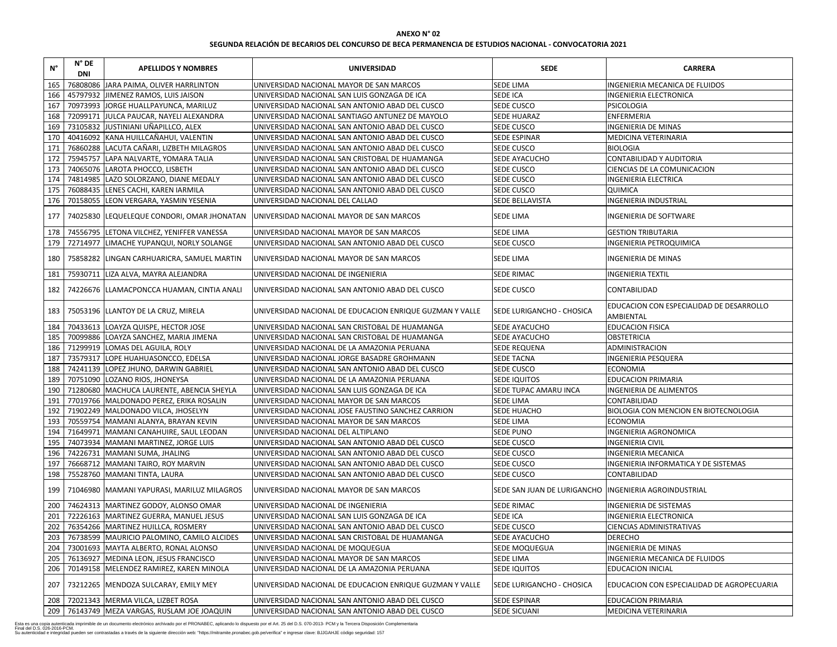# **SEGUNDA RELACIÓN DE BECARIOS DEL CONCURSO DE BECA PERMANENCIA DE ESTUDIOS NACIONAL - CONVOCATORIA 2021**

| $\mathsf{N}^\circ$ | $N^{\circ}$ DE<br><b>DNI</b> | <b>APELLIDOS Y NOMBRES</b>                        | <b>UNIVERSIDAD</b>                                        | <b>SEDE</b>                                            | <b>CARRERA</b>                                               |
|--------------------|------------------------------|---------------------------------------------------|-----------------------------------------------------------|--------------------------------------------------------|--------------------------------------------------------------|
| 165                |                              | 76808086 JARA PAIMA, OLIVER HARRLINTON            | UNIVERSIDAD NACIONAL MAYOR DE SAN MARCOS                  | SEDE LIMA                                              | INGENIERIA MECANICA DE FLUIDOS                               |
| 166                |                              | 45797932 JIMENEZ RAMOS, LUIS JAISON               | UNIVERSIDAD NACIONAL SAN LUIS GONZAGA DE ICA              | SEDE ICA                                               | <b>INGENIERIA ELECTRONICA</b>                                |
| 167                |                              | 70973993 JORGE HUALLPAYUNCA, MARILUZ              | UNIVERSIDAD NACIONAL SAN ANTONIO ABAD DEL CUSCO           | <b>SEDE CUSCO</b>                                      | <b>PSICOLOGIA</b>                                            |
| 168                |                              | 72099171 JULCA PAUCAR, NAYELI ALEXANDRA           | UNIVERSIDAD NACIONAL SANTIAGO ANTUNEZ DE MAYOLO           | <b>SEDE HUARAZ</b>                                     | ENFERMERIA                                                   |
| 169                |                              | 73105832 JJUSTINIANI UÑAPILLCO, ALEX              | UNIVERSIDAD NACIONAL SAN ANTONIO ABAD DEL CUSCO           | SEDE CUSCO                                             | <b>INGENIERIA DE MINAS</b>                                   |
| 170                |                              | 40416092 KANA HUILLCAÑAHUI, VALENTIN              | UNIVERSIDAD NACIONAL SAN ANTONIO ABAD DEL CUSCO           | <b>SEDE ESPINAR</b>                                    | MEDICINA VETERINARIA                                         |
| 171                |                              | 76860288 LACUTA CAÑARI, LIZBETH MILAGROS          | UNIVERSIDAD NACIONAL SAN ANTONIO ABAD DEL CUSCO           | SEDE CUSCO                                             | <b>BIOLOGIA</b>                                              |
| 172                |                              | 75945757 LAPA NALVARTE, YOMARA TALIA              | UNIVERSIDAD NACIONAL SAN CRISTOBAL DE HUAMANGA            | SEDE AYACUCHO                                          | CONTABILIDAD Y AUDITORIA                                     |
| 173                |                              | 74065076 LAROTA PHOCCO, LISBETH                   | UNIVERSIDAD NACIONAL SAN ANTONIO ABAD DEL CUSCO           | SEDE CUSCO                                             | CIENCIAS DE LA COMUNICACION                                  |
| 174                |                              | 74814985   LAZO SOLORZANO, DIANE MEDALY           | UNIVERSIDAD NACIONAL SAN ANTONIO ABAD DEL CUSCO           | SEDE CUSCO                                             | <b>INGENIERIA ELECTRICA</b>                                  |
| 175                |                              | 76088435 LENES CACHI, KAREN IARMILA               | UNIVERSIDAD NACIONAL SAN ANTONIO ABAD DEL CUSCO           | SEDE CUSCO                                             | <b>QUIMICA</b>                                               |
| 176                |                              | 70158055 LEON VERGARA, YASMIN YESENIA             | UNIVERSIDAD NACIONAL DEL CALLAO                           | SEDE BELLAVISTA                                        | <b>INGENIERIA INDUSTRIAL</b>                                 |
| 177                |                              | 74025830 LEQUELEQUE CONDORI, OMAR JHONATAN        | UNIVERSIDAD NACIONAL MAYOR DE SAN MARCOS                  | SEDE LIMA                                              | <b>INGENIERIA DE SOFTWARE</b>                                |
| 178                |                              | 74556795 LETONA VILCHEZ, YENIFFER VANESSA         | UNIVERSIDAD NACIONAL MAYOR DE SAN MARCOS                  | SEDE LIMA                                              | <b>GESTION TRIBUTARIA</b>                                    |
| 179                |                              | 72714977 LIMACHE YUPANQUI, NORLY SOLANGE          | UNIVERSIDAD NACIONAL SAN ANTONIO ABAD DEL CUSCO           | SEDE CUSCO                                             | INGENIERIA PETROQUIMICA                                      |
| 180                |                              | 75858282 LINGAN CARHUARICRA, SAMUEL MARTIN        | UNIVERSIDAD NACIONAL MAYOR DE SAN MARCOS                  | SEDE LIMA                                              | <b>INGENIERIA DE MINAS</b>                                   |
| 181                |                              | 75930711 LIZA ALVA, MAYRA ALEJANDRA               | UNIVERSIDAD NACIONAL DE INGENIERIA                        | <b>SEDE RIMAC</b>                                      | <b>INGENIERIA TEXTIL</b>                                     |
| 182                |                              | 74226676   LLAMACPONCCA HUAMAN, CINTIA ANALI      | UNIVERSIDAD NACIONAL SAN ANTONIO ABAD DEL CUSCO           | SEDE CUSCO                                             | CONTABILIDAD                                                 |
| 183                |                              | 75053196 LLANTOY DE LA CRUZ, MIRELA               | UNIVERSIDAD NACIONAL DE EDUCACION ENRIQUE GUZMAN Y VALLE  | SEDE LURIGANCHO - CHOSICA                              | EDUCACION CON ESPECIALIDAD DE DESARROLLO<br><b>AMBIENTAL</b> |
| 184                |                              | 70433613 LOAYZA QUISPE, HECTOR JOSE               | UNIVERSIDAD NACIONAL SAN CRISTOBAL DE HUAMANGA            | SEDE AYACUCHO                                          | <b>EDUCACION FISICA</b>                                      |
| 185                |                              | 70099886 LOAYZA SANCHEZ, MARIA JIMENA             | UNIVERSIDAD NACIONAL SAN CRISTOBAL DE HUAMANGA            | SEDE AYACUCHO                                          | <b>OBSTETRICIA</b>                                           |
| 186                |                              | 71299919 LOMAS DEL AGUILA, ROLY                   | UNIVERSIDAD NACIONAL DE LA AMAZONIA PERUANA               | <b>SEDE REQUENA</b>                                    | ADMINISTRACION                                               |
| 187                |                              | 73579317 LOPE HUAHUASONCCO, EDELSA                | UNIVERSIDAD NACIONAL JORGE BASADRE GROHMANN               | <b>SEDE TACNA</b>                                      | <b>INGENIERIA PESQUERA</b>                                   |
| 188                |                              | 74241139 LOPEZ JHUNO, DARWIN GABRIEL              | UNIVERSIDAD NACIONAL SAN ANTONIO ABAD DEL CUSCO           | SEDE CUSCO                                             | <b>ECONOMIA</b>                                              |
| 189                |                              | 70751090 LOZANO RIOS, JHONEYSA                    | UNIVERSIDAD NACIONAL DE LA AMAZONIA PERUANA               | SEDE IQUITOS                                           | <b>EDUCACION PRIMARIA</b>                                    |
|                    |                              | 190   71280680   MACHUCA LAURENTE, ABENCIA SHEYLA | JUNIVERSIDAD NACIONAL SAN LUIS GONZAGA DE ICA             | SEDE TUPAC AMARU INCA                                  | <b>INGENIERIA DE ALIMENTOS</b>                               |
| 191                |                              | 77019766 MALDONADO PEREZ, ERIKA ROSALIN           | UNIVERSIDAD NACIONAL MAYOR DE SAN MARCOS                  | SEDE LIMA                                              | CONTABILIDAD                                                 |
| 192                |                              | 71902249 MALDONADO VILCA, JHOSELYN                | UNIVERSIDAD NACIONAL JOSE FAUSTINO SANCHEZ CARRION        | SEDE HUACHO                                            | BIOLOGIA CON MENCION EN BIOTECNOLOGIA                        |
| 193                |                              | 70559754 MAMANI ALANYA, BRAYAN KEVIN              | UNIVERSIDAD NACIONAL MAYOR DE SAN MARCOS                  | SEDE LIMA                                              | <b>ECONOMIA</b>                                              |
| 194                |                              | 71649971   MAMANI CANAHUIRE, SAUL LEODAN          | UNIVERSIDAD NACIONAL DEL ALTIPLANO                        | <b>SEDE PUNO</b>                                       | INGENIERIA AGRONOMICA                                        |
| 195                |                              | 74073934   MAMANI MARTINEZ, JORGE LUIS            | UNIVERSIDAD NACIONAL SAN ANTONIO ABAD DEL CUSCO           | SEDE CUSCO                                             | <b>INGENIERIA CIVIL</b>                                      |
| 196                |                              | 74226731 MAMANI SUMA, JHALING                     | UNIVERSIDAD NACIONAL SAN ANTONIO ABAD DEL CUSCO           | SEDE CUSCO                                             | <b>INGENIERIA MECANICA</b>                                   |
| 197                |                              | 76668712 MAMANI TAIRO, ROY MARVIN                 | UNIVERSIDAD NACIONAL SAN ANTONIO ABAD DEL CUSCO           | SEDE CUSCO                                             | INGENIERIA INFORMATICA Y DE SISTEMAS                         |
| 198                |                              | 75528760 MAMANI TINTA, LAURA                      | UNIVERSIDAD NACIONAL SAN ANTONIO ABAD DEL CUSCO           | <b>SEDE CUSCO</b>                                      | CONTABILIDAD                                                 |
| 199                |                              | 71046980 MAMANI YAPURASI, MARILUZ MILAGROS        | UNIVERSIDAD NACIONAL MAYOR DE SAN MARCOS                  | SEDE SAN JUAN DE LURIGANCHO  INGENIERIA AGROINDUSTRIAL |                                                              |
| 200                |                              | 74624313   MARTINEZ GODOY, ALONSO OMAR            | UNIVERSIDAD NACIONAL DE INGENIERIA                        | <b>SEDE RIMAC</b>                                      | <b>INGENIERIA DE SISTEMAS</b>                                |
| 201                |                              | 72226163   MARTINEZ GUERRA, MANUEL JESUS          | UNIVERSIDAD NACIONAL SAN LUIS GONZAGA DE ICA              | <b>SEDE ICA</b>                                        | <b>INGENIERIA ELECTRONICA</b>                                |
| 202                |                              | 76354266 MARTINEZ HUILLCA, ROSMERY                | UNIVERSIDAD NACIONAL SAN ANTONIO ABAD DEL CUSCO           | <b>SEDE CUSCO</b>                                      | CIENCIAS ADMINISTRATIVAS                                     |
| 203                |                              | 76738599 MAURICIO PALOMINO, CAMILO ALCIDES        | UNIVERSIDAD NACIONAL SAN CRISTOBAL DE HUAMANGA            | SEDE AYACUCHO                                          | <b>DERECHO</b>                                               |
| 204                |                              | 73001693 MAYTA ALBERTO, RONAL ALONSO              | UNIVERSIDAD NACIONAL DE MOQUEGUA                          | SEDE MOQUEGUA                                          | <b>INGENIERIA DE MINAS</b>                                   |
| 205                |                              | 76136927 MEDINA LEON, JESUS FRANCISCO             | UNIVERSIDAD NACIONAL MAYOR DE SAN MARCOS                  | SEDE LIMA                                              | INGENIERIA MECANICA DE FLUIDOS                               |
| 206                |                              | 70149158   MELENDEZ RAMIREZ, KAREN MINOLA         | UNIVERSIDAD NACIONAL DE LA AMAZONIA PERUANA               | SEDE IQUITOS                                           | <b>EDUCACION INICIAL</b>                                     |
| 207                |                              | 73212265   MENDOZA SULCARAY, EMILY MEY            | JUNIVERSIDAD NACIONAL DE EDUCACION ENRIQUE GUZMAN Y VALLE | SEDE LURIGANCHO - CHOSICA                              | EDUCACION CON ESPECIALIDAD DE AGROPECUARIA                   |
| 208                |                              | 72021343   MERMA VILCA, LIZBET ROSA               | JUNIVERSIDAD NACIONAL SAN ANTONIO ABAD DEL CUSCO          | SEDE ESPINAR                                           | EDUCACION PRIMARIA                                           |
| 209                |                              | 76143749 MEZA VARGAS, RUSLAM JOE JOAQUIN          | UNIVERSIDAD NACIONAL SAN ANTONIO ABAD DEL CUSCO           | <b>SEDE SICUANI</b>                                    | MEDICINA VETERINARIA                                         |
|                    |                              |                                                   |                                                           |                                                        |                                                              |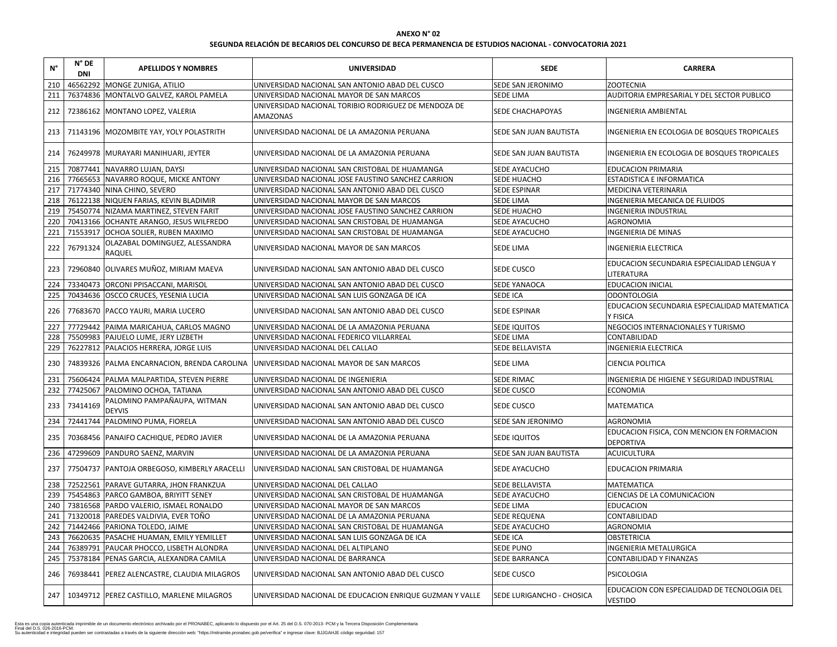# **SEGUNDA RELACIÓN DE BECARIOS DEL CONCURSO DE BECA PERMANENCIA DE ESTUDIOS NACIONAL - CONVOCATORIA 2021**

| $N^{\circ}$ | $N^{\circ}$ DE<br><b>DNI</b> | <b>APELLIDOS Y NOMBRES</b>                        | <b>UNIVERSIDAD</b>                                                                     | <b>SEDE</b>                      | <b>CARRERA</b>                                                  |
|-------------|------------------------------|---------------------------------------------------|----------------------------------------------------------------------------------------|----------------------------------|-----------------------------------------------------------------|
| 210         |                              | 46562292 MONGE ZUNIGA, ATILIO                     | UNIVERSIDAD NACIONAL SAN ANTONIO ABAD DEL CUSCO                                        | <b>SEDE SAN JERONIMO</b>         | <b>ZOOTECNIA</b>                                                |
| 211         |                              | 76374836 MONTALVO GALVEZ, KAROL PAMELA            | UNIVERSIDAD NACIONAL MAYOR DE SAN MARCOS                                               | <b>SEDE LIMA</b>                 | AUDITORIA EMPRESARIAL Y DEL SECTOR PUBLICO                      |
| 212         |                              | 72386162 MONTANO LOPEZ, VALERIA                   | UNIVERSIDAD NACIONAL TORIBIO RODRIGUEZ DE MENDOZA DE<br><b>AMAZONAS</b>                | <b>SEDE CHACHAPOYAS</b>          | INGENIERIA AMBIENTAL                                            |
|             |                              | 213   71143196   MOZOMBITE YAY, YOLY POLASTRITH   | UNIVERSIDAD NACIONAL DE LA AMAZONIA PERUANA                                            | SEDE SAN JUAN BAUTISTA           | INGENIERIA EN ECOLOGIA DE BOSQUES TROPICALES                    |
| 214         |                              | 76249978   MURAYARI MANIHUARI, JEYTER             | UNIVERSIDAD NACIONAL DE LA AMAZONIA PERUANA                                            | SEDE SAN JUAN BAUTISTA           | INGENIERIA EN ECOLOGIA DE BOSQUES TROPICALES                    |
| 215         |                              | 70877441 NAVARRO LUJAN, DAYSI                     | UNIVERSIDAD NACIONAL SAN CRISTOBAL DE HUAMANGA                                         | SEDE AYACUCHO                    | <b>EDUCACION PRIMARIA</b>                                       |
| 216         |                              | 77665653 NAVARRO ROQUE, MICKE ANTONY              | UNIVERSIDAD NACIONAL JOSE FAUSTINO SANCHEZ CARRION                                     | <b>SEDE HUACHO</b>               | <b>ESTADISTICA E INFORMATICA</b>                                |
| 217         |                              | 71774340 NINA CHINO, SEVERO                       | UNIVERSIDAD NACIONAL SAN ANTONIO ABAD DEL CUSCO                                        | <b>SEDE ESPINAR</b>              | <b>MEDICINA VETERINARIA</b>                                     |
| 218         |                              | 76122138 NIQUEN FARIAS, KEVIN BLADIMIR            | UNIVERSIDAD NACIONAL MAYOR DE SAN MARCOS                                               | <b>SEDE LIMA</b>                 | INGENIERIA MECANICA DE FLUIDOS                                  |
| 219         |                              | 75450774 NIZAMA MARTINEZ, STEVEN FARIT            | UNIVERSIDAD NACIONAL JOSE FAUSTINO SANCHEZ CARRION                                     | <b>SEDE HUACHO</b>               | INGENIERIA INDUSTRIAL                                           |
| 220         |                              | 70413166 OCHANTE ARANGO, JESUS WILFREDO           | UNIVERSIDAD NACIONAL SAN CRISTOBAL DE HUAMANGA                                         | SEDE AYACUCHO                    | <b>AGRONOMIA</b>                                                |
| 221         |                              | 71553917 OCHOA SOLIER, RUBEN MAXIMO               | UNIVERSIDAD NACIONAL SAN CRISTOBAL DE HUAMANGA                                         | SEDE AYACUCHO                    | <b>INGENIERIA DE MINAS</b>                                      |
| 222         | 76791324                     | OLAZABAL DOMINGUEZ, ALESSANDRA<br><b>RAQUEL</b>   | UNIVERSIDAD NACIONAL MAYOR DE SAN MARCOS                                               | <b>SEDE LIMA</b>                 | <b>INGENIERIA ELECTRICA</b>                                     |
| 223         |                              | 72960840 OLIVARES MUÑOZ, MIRIAM MAEVA             | UNIVERSIDAD NACIONAL SAN ANTONIO ABAD DEL CUSCO                                        | <b>SEDE CUSCO</b>                | EDUCACION SECUNDARIA ESPECIALIDAD LENGUA Y<br><b>LITERATURA</b> |
| 224         |                              | 73340473 ORCONI PPISACCANI, MARISOL               | UNIVERSIDAD NACIONAL SAN ANTONIO ABAD DEL CUSCO                                        | <b>SEDE YANAOCA</b>              | <b>EDUCACION INICIAL</b>                                        |
| 225         |                              | 70434636 OSCCO CRUCES, YESENIA LUCIA              | UNIVERSIDAD NACIONAL SAN LUIS GONZAGA DE ICA                                           | <b>SEDE ICA</b>                  | <b>ODONTOLOGIA</b>                                              |
| 226         |                              | 77683670   PACCO YAURI, MARIA LUCERO              | UNIVERSIDAD NACIONAL SAN ANTONIO ABAD DEL CUSCO                                        | <b>SEDE ESPINAR</b>              | EDUCACION SECUNDARIA ESPECIALIDAD MATEMATICA<br>Y FISICA        |
| 227         |                              | 77729442   PAIMA MARICAHUA, CARLOS MAGNO          | UNIVERSIDAD NACIONAL DE LA AMAZONIA PERUANA                                            | <b>SEDE IQUITOS</b>              | NEGOCIOS INTERNACIONALES Y TURISMO                              |
| 228         |                              | 75509983 PAJUELO LUME, JERY LIZBETH               | UNIVERSIDAD NACIONAL FEDERICO VILLARREAL                                               | <b>SEDE LIMA</b>                 | <b>CONTABILIDAD</b>                                             |
| 229         |                              | 76227812 PALACIOS HERRERA, JORGE LUIS             | UNIVERSIDAD NACIONAL DEL CALLAO                                                        | SEDE BELLAVISTA                  | <b>INGENIERIA ELECTRICA</b>                                     |
| 230         |                              |                                                   | 74839326 PALMA ENCARNACION, BRENDA CAROLINA   UNIVERSIDAD NACIONAL MAYOR DE SAN MARCOS | <b>SEDE LIMA</b>                 | <b>CIENCIA POLITICA</b>                                         |
| 231         |                              | 75606424   PALMA MALPARTIDA, STEVEN PIERRE        | UNIVERSIDAD NACIONAL DE INGENIERIA                                                     | <b>SEDE RIMAC</b>                | INGENIERIA DE HIGIENE Y SEGURIDAD INDUSTRIAL                    |
|             |                              | 232   77425067   PALOMINO OCHOA, TATIANA          | UNIVERSIDAD NACIONAL SAN ANTONIO ABAD DEL CUSCO                                        | <b>SEDE CUSCO</b>                | <b>ECONOMIA</b>                                                 |
| 233         | 73414169                     | PALOMINO PAMPAÑAUPA, WITMAN<br><b>DEYVIS</b>      | UNIVERSIDAD NACIONAL SAN ANTONIO ABAD DEL CUSCO                                        | <b>SEDE CUSCO</b>                | MATEMATICA                                                      |
| 234         |                              | 72441744 PALOMINO PUMA, FIORELA                   | UNIVERSIDAD NACIONAL SAN ANTONIO ABAD DEL CUSCO                                        | SEDE SAN JERONIMO                | <b>AGRONOMIA</b>                                                |
| 235         |                              | 70368456   PANAIFO CACHIQUE, PEDRO JAVIER         | UNIVERSIDAD NACIONAL DE LA AMAZONIA PERUANA                                            | <b>SEDE IQUITOS</b>              | EDUCACION FISICA, CON MENCION EN FORMACION<br>DEPORTIVA         |
| 236         |                              | 47299609 PANDURO SAENZ, MARVIN                    | UNIVERSIDAD NACIONAL DE LA AMAZONIA PERUANA                                            | SEDE SAN JUAN BAUTISTA           | <b>ACUICULTURA</b>                                              |
| 237         |                              | 77504737   PANTOJA ORBEGOSO, KIMBERLY ARACELLI    | UNIVERSIDAD NACIONAL SAN CRISTOBAL DE HUAMANGA                                         | <b>SEDE AYACUCHO</b>             | <b>EDUCACION PRIMARIA</b>                                       |
| 238         |                              | 72522561   PARAVE GUTARRA, JHON FRANKZUA          | UNIVERSIDAD NACIONAL DEL CALLAO                                                        | <b>SEDE BELLAVISTA</b>           | <b>MATEMATICA</b>                                               |
| 239         |                              | 75454863 PARCO GAMBOA, BRIYITT SENEY              | UNIVERSIDAD NACIONAL SAN CRISTOBAL DE HUAMANGA                                         | SEDE AYACUCHO                    | CIENCIAS DE LA COMUNICACION                                     |
| 240         |                              | 73816568 PARDO VALERIO, ISMAEL RONALDO            | UNIVERSIDAD NACIONAL MAYOR DE SAN MARCOS                                               | <b>SEDE LIMA</b>                 | <b>EDUCACION</b>                                                |
| 241         |                              | 71320018 PAREDES VALDIVIA, EVER TOÑO              | UNIVERSIDAD NACIONAL DE LA AMAZONIA PERUANA                                            | <b>SEDE REQUENA</b>              | CONTABILIDAD                                                    |
| 242         |                              | 71442466 PARIONA TOLEDO, JAIME                    | UNIVERSIDAD NACIONAL SAN CRISTOBAL DE HUAMANGA                                         | SEDE AYACUCHO                    | <b>AGRONOMIA</b>                                                |
| 243         |                              | 76620635   PASACHE HUAMAN, EMILY YEMILLET         | UNIVERSIDAD NACIONAL SAN LUIS GONZAGA DE ICA                                           | <b>SEDE ICA</b>                  | <b>OBSTETRICIA</b>                                              |
| 244         |                              | 76389791   PAUCAR PHOCCO, LISBETH ALONDRA         | UNIVERSIDAD NACIONAL DEL ALTIPLANO                                                     | <b>SEDE PUNO</b>                 | <b>INGENIERIA METALURGICA</b>                                   |
| 245         |                              | 75378184   PENAS GARCIA, ALEXANDRA CAMILA         | UNIVERSIDAD NACIONAL DE BARRANCA                                                       | <b>SEDE BARRANCA</b>             | CONTABILIDAD Y FINANZAS                                         |
| 246         |                              | 76938441   PEREZ ALENCASTRE, CLAUDIA MILAGROS     | UNIVERSIDAD NACIONAL SAN ANTONIO ABAD DEL CUSCO                                        | <b>SEDE CUSCO</b>                | <b>PSICOLOGIA</b>                                               |
|             |                              | 247   10349712   PEREZ CASTILLO, MARLENE MILAGROS | UNIVERSIDAD NACIONAL DE EDUCACION ENRIQUE GUZMAN Y VALLE                               | <b>SEDE LURIGANCHO - CHOSICA</b> | EDUCACION CON ESPECIALIDAD DE TECNOLOGIA DEL<br><b>VESTIDO</b>  |

| <b>CARRERA</b>                        |
|---------------------------------------|
|                                       |
| ESARIAL Y DEL SECTOR PUBLICO          |
| <b>ENTAL</b>                          |
| COLOGIA DE BOSQUES TROPICALES         |
| COLOGIA DE BOSQUES TROPICALES         |
| <b>IARIA</b>                          |
| FORMATICA                             |
| <b>INARIA</b>                         |
| <b>NICA DE FLUIDOS</b>                |
| <b>STRIAL</b>                         |
|                                       |
| <b>INAS</b>                           |
| <b>TRICA</b>                          |
| <b>NDARIA ESPECIALIDAD LENGUA Y</b>   |
| AL                                    |
|                                       |
| <b>NDARIA ESPECIALIDAD MATEMATICA</b> |
| <b>NACIONALES Y TURISMO</b>           |
|                                       |
| <b>TRICA</b>                          |
|                                       |
|                                       |
| <b>GIENE Y SEGURIDAD INDUSTRIAL</b>   |
|                                       |
|                                       |
|                                       |
| A, CON MENCION EN FORMACION           |
|                                       |
| IARIA                                 |
|                                       |
| OMUNICACION                           |
|                                       |
|                                       |
|                                       |
|                                       |
| <b>ILURGICA</b>                       |
| <b>FINANZAS</b>                       |
|                                       |
|                                       |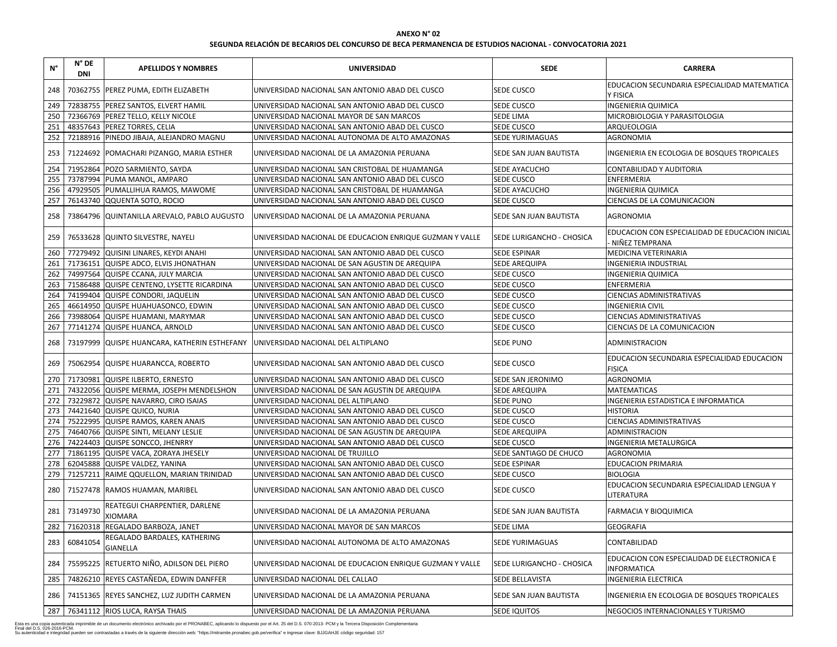| 248<br>70362755   PEREZ PUMA, EDITH ELIZABETH<br><b>SEDE CUSCO</b><br>UNIVERSIDAD NACIONAL SAN ANTONIO ABAD DEL CUSCO<br>Y FISICA<br>72838755 PEREZ SANTOS, ELVERT HAMIL<br>249<br><b>SEDE CUSCO</b><br><b>INGENIERIA QUIMICA</b><br>UNIVERSIDAD NACIONAL SAN ANTONIO ABAD DEL CUSCO<br>250<br>72366769 PEREZ TELLO, KELLY NICOLE<br><b>SEDE LIMA</b><br>UNIVERSIDAD NACIONAL MAYOR DE SAN MARCOS<br>MICROBIOLOGIA Y PARASITOLOGIA<br>48357643 PEREZ TORRES, CELIA<br>251<br><b>SEDE CUSCO</b><br>ARQUEOLOGIA<br>UNIVERSIDAD NACIONAL SAN ANTONIO ABAD DEL CUSCO<br>252<br>72188916   PINEDO JIBAJA, ALEJANDRO MAGNU<br>UNIVERSIDAD NACIONAL AUTONOMA DE ALTO AMAZONAS<br><b>SEDE YURIMAGUAS</b><br><b>AGRONOMIA</b><br><b>SEDE SAN JUAN BAUTISTA</b><br>253<br>71224692 POMACHARI PIZANGO, MARIA ESTHER<br>UNIVERSIDAD NACIONAL DE LA AMAZONIA PERUANA<br>254<br>71952864 POZO SARMIENTO, SAYDA<br>SEDE AYACUCHO<br>UNIVERSIDAD NACIONAL SAN CRISTOBAL DE HUAMANGA<br><b>CONTABILIDAD Y AUDITORIA</b><br>255<br>73787994 PUMA MANOL, AMPARO<br>UNIVERSIDAD NACIONAL SAN ANTONIO ABAD DEL CUSCO<br><b>SEDE CUSCO</b><br><b>ENFERMERIA</b><br>256<br>47929505 PUMALLIHUA RAMOS, MAWOME<br><b>INGENIERIA QUIMICA</b><br>UNIVERSIDAD NACIONAL SAN CRISTOBAL DE HUAMANGA<br>SEDE AYACUCHO<br>76143740 QQUENTA SOTO, ROCIO<br>257<br>UNIVERSIDAD NACIONAL SAN ANTONIO ABAD DEL CUSCO<br><b>SEDE CUSCO</b><br>CIENCIAS DE LA COMUNICACION<br>258<br>73864796 QUINTANILLA AREVALO, PABLO AUGUSTO<br>UNIVERSIDAD NACIONAL DE LA AMAZONIA PERUANA<br><b>SEDE SAN JUAN BAUTISTA</b><br><b>AGRONOMIA</b><br>259<br>76533628 QUINTO SILVESTRE, NAYELI<br>UNIVERSIDAD NACIONAL DE EDUCACION ENRIQUE GUZMAN Y VALLE<br><b>SEDE LURIGANCHO - CHOSICA</b><br>NIÑEZ TEMPRANA<br>77279492 QUISINI LINARES, KEYDI ANAHI<br>260<br>UNIVERSIDAD NACIONAL SAN ANTONIO ABAD DEL CUSCO<br><b>SEDE ESPINAR</b><br><b>MEDICINA VETERINARIA</b><br>261<br>71736151 QUISPE ADCO, ELVIS JHONATHAN<br>UNIVERSIDAD NACIONAL DE SAN AGUSTIN DE AREQUIPA<br><b>SEDE AREQUIPA</b><br><b>INGENIERIA INDUSTRIAL</b><br>262<br>74997564 QUISPE CCANA, JULY MARCIA<br>UNIVERSIDAD NACIONAL SAN ANTONIO ABAD DEL CUSCO<br><b>SEDE CUSCO</b><br><b>INGENIERIA QUIMICA</b><br>71586488 QUISPE CENTENO, LYSETTE RICARDINA<br><b>SEDE CUSCO</b><br><b>ENFERMERIA</b><br>263<br>UNIVERSIDAD NACIONAL SAN ANTONIO ABAD DEL CUSCO<br>74199404 QUISPE CONDORI, JAQUELIN<br>264<br><b>SEDE CUSCO</b><br><b>CIENCIAS ADMINISTRATIVAS</b><br>UNIVERSIDAD NACIONAL SAN ANTONIO ABAD DEL CUSCO<br>265<br>46614950 QUISPE HUAHUASONCO, EDWIN<br>UNIVERSIDAD NACIONAL SAN ANTONIO ABAD DEL CUSCO<br><b>SEDE CUSCO</b><br><b>INGENIERIA CIVIL</b><br>73988064 QUISPE HUAMANI, MARYMAR<br><b>CIENCIAS ADMINISTRATIVAS</b><br>266<br>UNIVERSIDAD NACIONAL SAN ANTONIO ABAD DEL CUSCO<br>SEDE CUSCO<br>267<br>77141274<br>QUISPE HUANCA, ARNOLD<br>UNIVERSIDAD NACIONAL SAN ANTONIO ABAD DEL CUSCO<br><b>SEDE CUSCO</b><br>CIENCIAS DE LA COMUNICACION<br>73197999 QUISPE HUANCARA, KATHERIN ESTHEFANY<br>268<br>UNIVERSIDAD NACIONAL DEL ALTIPLANO<br><b>SEDE PUNO</b><br>ADMINISTRACION<br>269<br>75062954 QUISPE HUARANCCA, ROBERTO<br>UNIVERSIDAD NACIONAL SAN ANTONIO ABAD DEL CUSCO<br><b>SEDE CUSCO</b><br><b>FISICA</b><br>71730981 QUISPE ILBERTO, ERNESTO<br>270<br>UNIVERSIDAD NACIONAL SAN ANTONIO ABAD DEL CUSCO<br><b>SEDE SAN JERONIMO</b><br><b>AGRONOMIA</b><br>271 74322056 QUISPE MERMA, JOSEPH MENDELSHON<br><b>MATEMATICAS</b><br>UNIVERSIDAD NACIONAL DE SAN AGUSTIN DE AREQUIPA<br><b>SEDE AREQUIPA</b><br>272<br>73229872 QUISPE NAVARRO, CIRO ISAIAS<br><b>SEDE PUNO</b><br>UNIVERSIDAD NACIONAL DEL ALTIPLANO<br>INGENIERIA ESTADISTICA E INFORMATICA<br>273<br>74421640 QUISPE QUICO, NURIA<br>UNIVERSIDAD NACIONAL SAN ANTONIO ABAD DEL CUSCO<br>SEDE CUSCO<br><b>HISTORIA</b><br>274<br>75222995 QUISPE RAMOS, KAREN ANAIS<br><b>SEDE CUSCO</b><br>UNIVERSIDAD NACIONAL SAN ANTONIO ABAD DEL CUSCO<br><b>CIENCIAS ADMINISTRATIVAS</b><br>275<br>74640766 QUISPE SINTI, MELANY LESLIE<br>SEDE AREQUIPA<br><b>ADMINISTRACION</b><br>UNIVERSIDAD NACIONAL DE SAN AGUSTIN DE AREQUIPA<br>276<br>74224403 QUISPE SONCCO, JHENRRY<br><b>SEDE CUSCO</b><br>INGENIERIA METALURGICA<br>UNIVERSIDAD NACIONAL SAN ANTONIO ABAD DEL CUSCO<br>277<br>71861195 QUISPE VACA, ZORAYA JHESELY<br>SEDE SANTIAGO DE CHUCO<br>UNIVERSIDAD NACIONAL DE TRUJILLO<br><b>AGRONOMIA</b><br>278<br>62045888 QUISPE VALDEZ, YANINA<br>UNIVERSIDAD NACIONAL SAN ANTONIO ABAD DEL CUSCO<br><b>SEDE ESPINAR</b><br><b>EDUCACION PRIMARIA</b><br><b>BIOLOGIA</b><br>279<br>71257211 RAIME QQUELLON, MARIAN TRINIDAD<br>UNIVERSIDAD NACIONAL SAN ANTONIO ABAD DEL CUSCO<br><b>SEDE CUSCO</b><br>EDUCACION SECUNDARIA ESPECIALIDAD LENGUA Y<br>280<br>71527478 RAMOS HUAMAN, MARIBEL<br>UNIVERSIDAD NACIONAL SAN ANTONIO ABAD DEL CUSCO<br><b>SEDE CUSCO</b><br>LITERATURA<br>REATEGUI CHARPENTIER, DARLENE<br>73149730<br>281<br>UNIVERSIDAD NACIONAL DE LA AMAZONIA PERUANA<br><b>SEDE SAN JUAN BAUTISTA</b><br>FARMACIA Y BIOQUIMICA<br><b>XIOMARA</b><br>71620318 REGALADO BARBOZA, JANET<br><b>GEOGRAFIA</b><br>UNIVERSIDAD NACIONAL MAYOR DE SAN MARCOS<br><b>SEDE LIMA</b><br>282<br>REGALADO BARDALES, KATHERING<br>60841054<br>283<br>UNIVERSIDAD NACIONAL AUTONOMA DE ALTO AMAZONAS<br><b>SEDE YURIMAGUAS</b><br><b>CONTABILIDAD</b> | $N^{\circ}$ | $N^{\circ}$ DE<br><b>DNI</b> | <b>APELLIDOS Y NOMBRES</b> | <b>UNIVERSIDAD</b> | <b>SEDE</b> | <b>CARRERA</b>                                  |
|----------------------------------------------------------------------------------------------------------------------------------------------------------------------------------------------------------------------------------------------------------------------------------------------------------------------------------------------------------------------------------------------------------------------------------------------------------------------------------------------------------------------------------------------------------------------------------------------------------------------------------------------------------------------------------------------------------------------------------------------------------------------------------------------------------------------------------------------------------------------------------------------------------------------------------------------------------------------------------------------------------------------------------------------------------------------------------------------------------------------------------------------------------------------------------------------------------------------------------------------------------------------------------------------------------------------------------------------------------------------------------------------------------------------------------------------------------------------------------------------------------------------------------------------------------------------------------------------------------------------------------------------------------------------------------------------------------------------------------------------------------------------------------------------------------------------------------------------------------------------------------------------------------------------------------------------------------------------------------------------------------------------------------------------------------------------------------------------------------------------------------------------------------------------------------------------------------------------------------------------------------------------------------------------------------------------------------------------------------------------------------------------------------------------------------------------------------------------------------------------------------------------------------------------------------------------------------------------------------------------------------------------------------------------------------------------------------------------------------------------------------------------------------------------------------------------------------------------------------------------------------------------------------------------------------------------------------------------------------------------------------------------------------------------------------------------------------------------------------------------------------------------------------------------------------------------------------------------------------------------------------------------------------------------------------------------------------------------------------------------------------------------------------------------------------------------------------------------------------------------------------------------------------------------------------------------------------------------------------------------------------------------------------------------------------------------------------------------------------------------------------------------------------------------------------------------------------------------------------------------------------------------------------------------------------------------------------------------------------------------------------------------------------------------------------------------------------------------------------------------------------------------------------------------------------------------------------------------------------------------------------------------------------------------------------------------------------------------------------------------------------------------------------------------------------------------------------------------------------------------------------------------------------------------------------------------------------------------------------------------------------------------------------------------------------------------------------------------------------------------------------------------------------------------------------------------------------------------------------------------------------------------------------------------------------------------------------------------------------------------------------------------------------------------------------------------------------------------------------------------------------------------------------------------------------------------------------------------------------------------------------------------------------------------------------------------------------------------------------------------------------|-------------|------------------------------|----------------------------|--------------------|-------------|-------------------------------------------------|
|                                                                                                                                                                                                                                                                                                                                                                                                                                                                                                                                                                                                                                                                                                                                                                                                                                                                                                                                                                                                                                                                                                                                                                                                                                                                                                                                                                                                                                                                                                                                                                                                                                                                                                                                                                                                                                                                                                                                                                                                                                                                                                                                                                                                                                                                                                                                                                                                                                                                                                                                                                                                                                                                                                                                                                                                                                                                                                                                                                                                                                                                                                                                                                                                                                                                                                                                                                                                                                                                                                                                                                                                                                                                                                                                                                                                                                                                                                                                                                                                                                                                                                                                                                                                                                                                                                                                                                                                                                                                                                                                                                                                                                                                                                                                                                                                                                                                                                                                                                                                                                                                                                                                                                                                                                                                                                                                                                                  |             |                              |                            |                    |             | EDUCACION SECUNDARIA ESPECIALIDAD MATEMATICA    |
|                                                                                                                                                                                                                                                                                                                                                                                                                                                                                                                                                                                                                                                                                                                                                                                                                                                                                                                                                                                                                                                                                                                                                                                                                                                                                                                                                                                                                                                                                                                                                                                                                                                                                                                                                                                                                                                                                                                                                                                                                                                                                                                                                                                                                                                                                                                                                                                                                                                                                                                                                                                                                                                                                                                                                                                                                                                                                                                                                                                                                                                                                                                                                                                                                                                                                                                                                                                                                                                                                                                                                                                                                                                                                                                                                                                                                                                                                                                                                                                                                                                                                                                                                                                                                                                                                                                                                                                                                                                                                                                                                                                                                                                                                                                                                                                                                                                                                                                                                                                                                                                                                                                                                                                                                                                                                                                                                                                  |             |                              |                            |                    |             |                                                 |
|                                                                                                                                                                                                                                                                                                                                                                                                                                                                                                                                                                                                                                                                                                                                                                                                                                                                                                                                                                                                                                                                                                                                                                                                                                                                                                                                                                                                                                                                                                                                                                                                                                                                                                                                                                                                                                                                                                                                                                                                                                                                                                                                                                                                                                                                                                                                                                                                                                                                                                                                                                                                                                                                                                                                                                                                                                                                                                                                                                                                                                                                                                                                                                                                                                                                                                                                                                                                                                                                                                                                                                                                                                                                                                                                                                                                                                                                                                                                                                                                                                                                                                                                                                                                                                                                                                                                                                                                                                                                                                                                                                                                                                                                                                                                                                                                                                                                                                                                                                                                                                                                                                                                                                                                                                                                                                                                                                                  |             |                              |                            |                    |             |                                                 |
|                                                                                                                                                                                                                                                                                                                                                                                                                                                                                                                                                                                                                                                                                                                                                                                                                                                                                                                                                                                                                                                                                                                                                                                                                                                                                                                                                                                                                                                                                                                                                                                                                                                                                                                                                                                                                                                                                                                                                                                                                                                                                                                                                                                                                                                                                                                                                                                                                                                                                                                                                                                                                                                                                                                                                                                                                                                                                                                                                                                                                                                                                                                                                                                                                                                                                                                                                                                                                                                                                                                                                                                                                                                                                                                                                                                                                                                                                                                                                                                                                                                                                                                                                                                                                                                                                                                                                                                                                                                                                                                                                                                                                                                                                                                                                                                                                                                                                                                                                                                                                                                                                                                                                                                                                                                                                                                                                                                  |             |                              |                            |                    |             |                                                 |
|                                                                                                                                                                                                                                                                                                                                                                                                                                                                                                                                                                                                                                                                                                                                                                                                                                                                                                                                                                                                                                                                                                                                                                                                                                                                                                                                                                                                                                                                                                                                                                                                                                                                                                                                                                                                                                                                                                                                                                                                                                                                                                                                                                                                                                                                                                                                                                                                                                                                                                                                                                                                                                                                                                                                                                                                                                                                                                                                                                                                                                                                                                                                                                                                                                                                                                                                                                                                                                                                                                                                                                                                                                                                                                                                                                                                                                                                                                                                                                                                                                                                                                                                                                                                                                                                                                                                                                                                                                                                                                                                                                                                                                                                                                                                                                                                                                                                                                                                                                                                                                                                                                                                                                                                                                                                                                                                                                                  |             |                              |                            |                    |             |                                                 |
|                                                                                                                                                                                                                                                                                                                                                                                                                                                                                                                                                                                                                                                                                                                                                                                                                                                                                                                                                                                                                                                                                                                                                                                                                                                                                                                                                                                                                                                                                                                                                                                                                                                                                                                                                                                                                                                                                                                                                                                                                                                                                                                                                                                                                                                                                                                                                                                                                                                                                                                                                                                                                                                                                                                                                                                                                                                                                                                                                                                                                                                                                                                                                                                                                                                                                                                                                                                                                                                                                                                                                                                                                                                                                                                                                                                                                                                                                                                                                                                                                                                                                                                                                                                                                                                                                                                                                                                                                                                                                                                                                                                                                                                                                                                                                                                                                                                                                                                                                                                                                                                                                                                                                                                                                                                                                                                                                                                  |             |                              |                            |                    |             | INGENIERIA EN ECOLOGIA DE BOSQUES TROPICALES    |
|                                                                                                                                                                                                                                                                                                                                                                                                                                                                                                                                                                                                                                                                                                                                                                                                                                                                                                                                                                                                                                                                                                                                                                                                                                                                                                                                                                                                                                                                                                                                                                                                                                                                                                                                                                                                                                                                                                                                                                                                                                                                                                                                                                                                                                                                                                                                                                                                                                                                                                                                                                                                                                                                                                                                                                                                                                                                                                                                                                                                                                                                                                                                                                                                                                                                                                                                                                                                                                                                                                                                                                                                                                                                                                                                                                                                                                                                                                                                                                                                                                                                                                                                                                                                                                                                                                                                                                                                                                                                                                                                                                                                                                                                                                                                                                                                                                                                                                                                                                                                                                                                                                                                                                                                                                                                                                                                                                                  |             |                              |                            |                    |             |                                                 |
|                                                                                                                                                                                                                                                                                                                                                                                                                                                                                                                                                                                                                                                                                                                                                                                                                                                                                                                                                                                                                                                                                                                                                                                                                                                                                                                                                                                                                                                                                                                                                                                                                                                                                                                                                                                                                                                                                                                                                                                                                                                                                                                                                                                                                                                                                                                                                                                                                                                                                                                                                                                                                                                                                                                                                                                                                                                                                                                                                                                                                                                                                                                                                                                                                                                                                                                                                                                                                                                                                                                                                                                                                                                                                                                                                                                                                                                                                                                                                                                                                                                                                                                                                                                                                                                                                                                                                                                                                                                                                                                                                                                                                                                                                                                                                                                                                                                                                                                                                                                                                                                                                                                                                                                                                                                                                                                                                                                  |             |                              |                            |                    |             |                                                 |
|                                                                                                                                                                                                                                                                                                                                                                                                                                                                                                                                                                                                                                                                                                                                                                                                                                                                                                                                                                                                                                                                                                                                                                                                                                                                                                                                                                                                                                                                                                                                                                                                                                                                                                                                                                                                                                                                                                                                                                                                                                                                                                                                                                                                                                                                                                                                                                                                                                                                                                                                                                                                                                                                                                                                                                                                                                                                                                                                                                                                                                                                                                                                                                                                                                                                                                                                                                                                                                                                                                                                                                                                                                                                                                                                                                                                                                                                                                                                                                                                                                                                                                                                                                                                                                                                                                                                                                                                                                                                                                                                                                                                                                                                                                                                                                                                                                                                                                                                                                                                                                                                                                                                                                                                                                                                                                                                                                                  |             |                              |                            |                    |             |                                                 |
|                                                                                                                                                                                                                                                                                                                                                                                                                                                                                                                                                                                                                                                                                                                                                                                                                                                                                                                                                                                                                                                                                                                                                                                                                                                                                                                                                                                                                                                                                                                                                                                                                                                                                                                                                                                                                                                                                                                                                                                                                                                                                                                                                                                                                                                                                                                                                                                                                                                                                                                                                                                                                                                                                                                                                                                                                                                                                                                                                                                                                                                                                                                                                                                                                                                                                                                                                                                                                                                                                                                                                                                                                                                                                                                                                                                                                                                                                                                                                                                                                                                                                                                                                                                                                                                                                                                                                                                                                                                                                                                                                                                                                                                                                                                                                                                                                                                                                                                                                                                                                                                                                                                                                                                                                                                                                                                                                                                  |             |                              |                            |                    |             |                                                 |
|                                                                                                                                                                                                                                                                                                                                                                                                                                                                                                                                                                                                                                                                                                                                                                                                                                                                                                                                                                                                                                                                                                                                                                                                                                                                                                                                                                                                                                                                                                                                                                                                                                                                                                                                                                                                                                                                                                                                                                                                                                                                                                                                                                                                                                                                                                                                                                                                                                                                                                                                                                                                                                                                                                                                                                                                                                                                                                                                                                                                                                                                                                                                                                                                                                                                                                                                                                                                                                                                                                                                                                                                                                                                                                                                                                                                                                                                                                                                                                                                                                                                                                                                                                                                                                                                                                                                                                                                                                                                                                                                                                                                                                                                                                                                                                                                                                                                                                                                                                                                                                                                                                                                                                                                                                                                                                                                                                                  |             |                              |                            |                    |             |                                                 |
|                                                                                                                                                                                                                                                                                                                                                                                                                                                                                                                                                                                                                                                                                                                                                                                                                                                                                                                                                                                                                                                                                                                                                                                                                                                                                                                                                                                                                                                                                                                                                                                                                                                                                                                                                                                                                                                                                                                                                                                                                                                                                                                                                                                                                                                                                                                                                                                                                                                                                                                                                                                                                                                                                                                                                                                                                                                                                                                                                                                                                                                                                                                                                                                                                                                                                                                                                                                                                                                                                                                                                                                                                                                                                                                                                                                                                                                                                                                                                                                                                                                                                                                                                                                                                                                                                                                                                                                                                                                                                                                                                                                                                                                                                                                                                                                                                                                                                                                                                                                                                                                                                                                                                                                                                                                                                                                                                                                  |             |                              |                            |                    |             | EDUCACION CON ESPECIALIDAD DE EDUCACION INICIAL |
|                                                                                                                                                                                                                                                                                                                                                                                                                                                                                                                                                                                                                                                                                                                                                                                                                                                                                                                                                                                                                                                                                                                                                                                                                                                                                                                                                                                                                                                                                                                                                                                                                                                                                                                                                                                                                                                                                                                                                                                                                                                                                                                                                                                                                                                                                                                                                                                                                                                                                                                                                                                                                                                                                                                                                                                                                                                                                                                                                                                                                                                                                                                                                                                                                                                                                                                                                                                                                                                                                                                                                                                                                                                                                                                                                                                                                                                                                                                                                                                                                                                                                                                                                                                                                                                                                                                                                                                                                                                                                                                                                                                                                                                                                                                                                                                                                                                                                                                                                                                                                                                                                                                                                                                                                                                                                                                                                                                  |             |                              |                            |                    |             |                                                 |
|                                                                                                                                                                                                                                                                                                                                                                                                                                                                                                                                                                                                                                                                                                                                                                                                                                                                                                                                                                                                                                                                                                                                                                                                                                                                                                                                                                                                                                                                                                                                                                                                                                                                                                                                                                                                                                                                                                                                                                                                                                                                                                                                                                                                                                                                                                                                                                                                                                                                                                                                                                                                                                                                                                                                                                                                                                                                                                                                                                                                                                                                                                                                                                                                                                                                                                                                                                                                                                                                                                                                                                                                                                                                                                                                                                                                                                                                                                                                                                                                                                                                                                                                                                                                                                                                                                                                                                                                                                                                                                                                                                                                                                                                                                                                                                                                                                                                                                                                                                                                                                                                                                                                                                                                                                                                                                                                                                                  |             |                              |                            |                    |             |                                                 |
|                                                                                                                                                                                                                                                                                                                                                                                                                                                                                                                                                                                                                                                                                                                                                                                                                                                                                                                                                                                                                                                                                                                                                                                                                                                                                                                                                                                                                                                                                                                                                                                                                                                                                                                                                                                                                                                                                                                                                                                                                                                                                                                                                                                                                                                                                                                                                                                                                                                                                                                                                                                                                                                                                                                                                                                                                                                                                                                                                                                                                                                                                                                                                                                                                                                                                                                                                                                                                                                                                                                                                                                                                                                                                                                                                                                                                                                                                                                                                                                                                                                                                                                                                                                                                                                                                                                                                                                                                                                                                                                                                                                                                                                                                                                                                                                                                                                                                                                                                                                                                                                                                                                                                                                                                                                                                                                                                                                  |             |                              |                            |                    |             |                                                 |
|                                                                                                                                                                                                                                                                                                                                                                                                                                                                                                                                                                                                                                                                                                                                                                                                                                                                                                                                                                                                                                                                                                                                                                                                                                                                                                                                                                                                                                                                                                                                                                                                                                                                                                                                                                                                                                                                                                                                                                                                                                                                                                                                                                                                                                                                                                                                                                                                                                                                                                                                                                                                                                                                                                                                                                                                                                                                                                                                                                                                                                                                                                                                                                                                                                                                                                                                                                                                                                                                                                                                                                                                                                                                                                                                                                                                                                                                                                                                                                                                                                                                                                                                                                                                                                                                                                                                                                                                                                                                                                                                                                                                                                                                                                                                                                                                                                                                                                                                                                                                                                                                                                                                                                                                                                                                                                                                                                                  |             |                              |                            |                    |             |                                                 |
|                                                                                                                                                                                                                                                                                                                                                                                                                                                                                                                                                                                                                                                                                                                                                                                                                                                                                                                                                                                                                                                                                                                                                                                                                                                                                                                                                                                                                                                                                                                                                                                                                                                                                                                                                                                                                                                                                                                                                                                                                                                                                                                                                                                                                                                                                                                                                                                                                                                                                                                                                                                                                                                                                                                                                                                                                                                                                                                                                                                                                                                                                                                                                                                                                                                                                                                                                                                                                                                                                                                                                                                                                                                                                                                                                                                                                                                                                                                                                                                                                                                                                                                                                                                                                                                                                                                                                                                                                                                                                                                                                                                                                                                                                                                                                                                                                                                                                                                                                                                                                                                                                                                                                                                                                                                                                                                                                                                  |             |                              |                            |                    |             |                                                 |
|                                                                                                                                                                                                                                                                                                                                                                                                                                                                                                                                                                                                                                                                                                                                                                                                                                                                                                                                                                                                                                                                                                                                                                                                                                                                                                                                                                                                                                                                                                                                                                                                                                                                                                                                                                                                                                                                                                                                                                                                                                                                                                                                                                                                                                                                                                                                                                                                                                                                                                                                                                                                                                                                                                                                                                                                                                                                                                                                                                                                                                                                                                                                                                                                                                                                                                                                                                                                                                                                                                                                                                                                                                                                                                                                                                                                                                                                                                                                                                                                                                                                                                                                                                                                                                                                                                                                                                                                                                                                                                                                                                                                                                                                                                                                                                                                                                                                                                                                                                                                                                                                                                                                                                                                                                                                                                                                                                                  |             |                              |                            |                    |             |                                                 |
|                                                                                                                                                                                                                                                                                                                                                                                                                                                                                                                                                                                                                                                                                                                                                                                                                                                                                                                                                                                                                                                                                                                                                                                                                                                                                                                                                                                                                                                                                                                                                                                                                                                                                                                                                                                                                                                                                                                                                                                                                                                                                                                                                                                                                                                                                                                                                                                                                                                                                                                                                                                                                                                                                                                                                                                                                                                                                                                                                                                                                                                                                                                                                                                                                                                                                                                                                                                                                                                                                                                                                                                                                                                                                                                                                                                                                                                                                                                                                                                                                                                                                                                                                                                                                                                                                                                                                                                                                                                                                                                                                                                                                                                                                                                                                                                                                                                                                                                                                                                                                                                                                                                                                                                                                                                                                                                                                                                  |             |                              |                            |                    |             |                                                 |
|                                                                                                                                                                                                                                                                                                                                                                                                                                                                                                                                                                                                                                                                                                                                                                                                                                                                                                                                                                                                                                                                                                                                                                                                                                                                                                                                                                                                                                                                                                                                                                                                                                                                                                                                                                                                                                                                                                                                                                                                                                                                                                                                                                                                                                                                                                                                                                                                                                                                                                                                                                                                                                                                                                                                                                                                                                                                                                                                                                                                                                                                                                                                                                                                                                                                                                                                                                                                                                                                                                                                                                                                                                                                                                                                                                                                                                                                                                                                                                                                                                                                                                                                                                                                                                                                                                                                                                                                                                                                                                                                                                                                                                                                                                                                                                                                                                                                                                                                                                                                                                                                                                                                                                                                                                                                                                                                                                                  |             |                              |                            |                    |             |                                                 |
|                                                                                                                                                                                                                                                                                                                                                                                                                                                                                                                                                                                                                                                                                                                                                                                                                                                                                                                                                                                                                                                                                                                                                                                                                                                                                                                                                                                                                                                                                                                                                                                                                                                                                                                                                                                                                                                                                                                                                                                                                                                                                                                                                                                                                                                                                                                                                                                                                                                                                                                                                                                                                                                                                                                                                                                                                                                                                                                                                                                                                                                                                                                                                                                                                                                                                                                                                                                                                                                                                                                                                                                                                                                                                                                                                                                                                                                                                                                                                                                                                                                                                                                                                                                                                                                                                                                                                                                                                                                                                                                                                                                                                                                                                                                                                                                                                                                                                                                                                                                                                                                                                                                                                                                                                                                                                                                                                                                  |             |                              |                            |                    |             |                                                 |
|                                                                                                                                                                                                                                                                                                                                                                                                                                                                                                                                                                                                                                                                                                                                                                                                                                                                                                                                                                                                                                                                                                                                                                                                                                                                                                                                                                                                                                                                                                                                                                                                                                                                                                                                                                                                                                                                                                                                                                                                                                                                                                                                                                                                                                                                                                                                                                                                                                                                                                                                                                                                                                                                                                                                                                                                                                                                                                                                                                                                                                                                                                                                                                                                                                                                                                                                                                                                                                                                                                                                                                                                                                                                                                                                                                                                                                                                                                                                                                                                                                                                                                                                                                                                                                                                                                                                                                                                                                                                                                                                                                                                                                                                                                                                                                                                                                                                                                                                                                                                                                                                                                                                                                                                                                                                                                                                                                                  |             |                              |                            |                    |             | EDUCACION SECUNDARIA ESPECIALIDAD EDUCACION     |
|                                                                                                                                                                                                                                                                                                                                                                                                                                                                                                                                                                                                                                                                                                                                                                                                                                                                                                                                                                                                                                                                                                                                                                                                                                                                                                                                                                                                                                                                                                                                                                                                                                                                                                                                                                                                                                                                                                                                                                                                                                                                                                                                                                                                                                                                                                                                                                                                                                                                                                                                                                                                                                                                                                                                                                                                                                                                                                                                                                                                                                                                                                                                                                                                                                                                                                                                                                                                                                                                                                                                                                                                                                                                                                                                                                                                                                                                                                                                                                                                                                                                                                                                                                                                                                                                                                                                                                                                                                                                                                                                                                                                                                                                                                                                                                                                                                                                                                                                                                                                                                                                                                                                                                                                                                                                                                                                                                                  |             |                              |                            |                    |             |                                                 |
|                                                                                                                                                                                                                                                                                                                                                                                                                                                                                                                                                                                                                                                                                                                                                                                                                                                                                                                                                                                                                                                                                                                                                                                                                                                                                                                                                                                                                                                                                                                                                                                                                                                                                                                                                                                                                                                                                                                                                                                                                                                                                                                                                                                                                                                                                                                                                                                                                                                                                                                                                                                                                                                                                                                                                                                                                                                                                                                                                                                                                                                                                                                                                                                                                                                                                                                                                                                                                                                                                                                                                                                                                                                                                                                                                                                                                                                                                                                                                                                                                                                                                                                                                                                                                                                                                                                                                                                                                                                                                                                                                                                                                                                                                                                                                                                                                                                                                                                                                                                                                                                                                                                                                                                                                                                                                                                                                                                  |             |                              |                            |                    |             |                                                 |
|                                                                                                                                                                                                                                                                                                                                                                                                                                                                                                                                                                                                                                                                                                                                                                                                                                                                                                                                                                                                                                                                                                                                                                                                                                                                                                                                                                                                                                                                                                                                                                                                                                                                                                                                                                                                                                                                                                                                                                                                                                                                                                                                                                                                                                                                                                                                                                                                                                                                                                                                                                                                                                                                                                                                                                                                                                                                                                                                                                                                                                                                                                                                                                                                                                                                                                                                                                                                                                                                                                                                                                                                                                                                                                                                                                                                                                                                                                                                                                                                                                                                                                                                                                                                                                                                                                                                                                                                                                                                                                                                                                                                                                                                                                                                                                                                                                                                                                                                                                                                                                                                                                                                                                                                                                                                                                                                                                                  |             |                              |                            |                    |             |                                                 |
|                                                                                                                                                                                                                                                                                                                                                                                                                                                                                                                                                                                                                                                                                                                                                                                                                                                                                                                                                                                                                                                                                                                                                                                                                                                                                                                                                                                                                                                                                                                                                                                                                                                                                                                                                                                                                                                                                                                                                                                                                                                                                                                                                                                                                                                                                                                                                                                                                                                                                                                                                                                                                                                                                                                                                                                                                                                                                                                                                                                                                                                                                                                                                                                                                                                                                                                                                                                                                                                                                                                                                                                                                                                                                                                                                                                                                                                                                                                                                                                                                                                                                                                                                                                                                                                                                                                                                                                                                                                                                                                                                                                                                                                                                                                                                                                                                                                                                                                                                                                                                                                                                                                                                                                                                                                                                                                                                                                  |             |                              |                            |                    |             |                                                 |
|                                                                                                                                                                                                                                                                                                                                                                                                                                                                                                                                                                                                                                                                                                                                                                                                                                                                                                                                                                                                                                                                                                                                                                                                                                                                                                                                                                                                                                                                                                                                                                                                                                                                                                                                                                                                                                                                                                                                                                                                                                                                                                                                                                                                                                                                                                                                                                                                                                                                                                                                                                                                                                                                                                                                                                                                                                                                                                                                                                                                                                                                                                                                                                                                                                                                                                                                                                                                                                                                                                                                                                                                                                                                                                                                                                                                                                                                                                                                                                                                                                                                                                                                                                                                                                                                                                                                                                                                                                                                                                                                                                                                                                                                                                                                                                                                                                                                                                                                                                                                                                                                                                                                                                                                                                                                                                                                                                                  |             |                              |                            |                    |             |                                                 |
|                                                                                                                                                                                                                                                                                                                                                                                                                                                                                                                                                                                                                                                                                                                                                                                                                                                                                                                                                                                                                                                                                                                                                                                                                                                                                                                                                                                                                                                                                                                                                                                                                                                                                                                                                                                                                                                                                                                                                                                                                                                                                                                                                                                                                                                                                                                                                                                                                                                                                                                                                                                                                                                                                                                                                                                                                                                                                                                                                                                                                                                                                                                                                                                                                                                                                                                                                                                                                                                                                                                                                                                                                                                                                                                                                                                                                                                                                                                                                                                                                                                                                                                                                                                                                                                                                                                                                                                                                                                                                                                                                                                                                                                                                                                                                                                                                                                                                                                                                                                                                                                                                                                                                                                                                                                                                                                                                                                  |             |                              |                            |                    |             |                                                 |
|                                                                                                                                                                                                                                                                                                                                                                                                                                                                                                                                                                                                                                                                                                                                                                                                                                                                                                                                                                                                                                                                                                                                                                                                                                                                                                                                                                                                                                                                                                                                                                                                                                                                                                                                                                                                                                                                                                                                                                                                                                                                                                                                                                                                                                                                                                                                                                                                                                                                                                                                                                                                                                                                                                                                                                                                                                                                                                                                                                                                                                                                                                                                                                                                                                                                                                                                                                                                                                                                                                                                                                                                                                                                                                                                                                                                                                                                                                                                                                                                                                                                                                                                                                                                                                                                                                                                                                                                                                                                                                                                                                                                                                                                                                                                                                                                                                                                                                                                                                                                                                                                                                                                                                                                                                                                                                                                                                                  |             |                              |                            |                    |             |                                                 |
|                                                                                                                                                                                                                                                                                                                                                                                                                                                                                                                                                                                                                                                                                                                                                                                                                                                                                                                                                                                                                                                                                                                                                                                                                                                                                                                                                                                                                                                                                                                                                                                                                                                                                                                                                                                                                                                                                                                                                                                                                                                                                                                                                                                                                                                                                                                                                                                                                                                                                                                                                                                                                                                                                                                                                                                                                                                                                                                                                                                                                                                                                                                                                                                                                                                                                                                                                                                                                                                                                                                                                                                                                                                                                                                                                                                                                                                                                                                                                                                                                                                                                                                                                                                                                                                                                                                                                                                                                                                                                                                                                                                                                                                                                                                                                                                                                                                                                                                                                                                                                                                                                                                                                                                                                                                                                                                                                                                  |             |                              |                            |                    |             |                                                 |
|                                                                                                                                                                                                                                                                                                                                                                                                                                                                                                                                                                                                                                                                                                                                                                                                                                                                                                                                                                                                                                                                                                                                                                                                                                                                                                                                                                                                                                                                                                                                                                                                                                                                                                                                                                                                                                                                                                                                                                                                                                                                                                                                                                                                                                                                                                                                                                                                                                                                                                                                                                                                                                                                                                                                                                                                                                                                                                                                                                                                                                                                                                                                                                                                                                                                                                                                                                                                                                                                                                                                                                                                                                                                                                                                                                                                                                                                                                                                                                                                                                                                                                                                                                                                                                                                                                                                                                                                                                                                                                                                                                                                                                                                                                                                                                                                                                                                                                                                                                                                                                                                                                                                                                                                                                                                                                                                                                                  |             |                              |                            |                    |             |                                                 |
|                                                                                                                                                                                                                                                                                                                                                                                                                                                                                                                                                                                                                                                                                                                                                                                                                                                                                                                                                                                                                                                                                                                                                                                                                                                                                                                                                                                                                                                                                                                                                                                                                                                                                                                                                                                                                                                                                                                                                                                                                                                                                                                                                                                                                                                                                                                                                                                                                                                                                                                                                                                                                                                                                                                                                                                                                                                                                                                                                                                                                                                                                                                                                                                                                                                                                                                                                                                                                                                                                                                                                                                                                                                                                                                                                                                                                                                                                                                                                                                                                                                                                                                                                                                                                                                                                                                                                                                                                                                                                                                                                                                                                                                                                                                                                                                                                                                                                                                                                                                                                                                                                                                                                                                                                                                                                                                                                                                  |             |                              |                            |                    |             |                                                 |
|                                                                                                                                                                                                                                                                                                                                                                                                                                                                                                                                                                                                                                                                                                                                                                                                                                                                                                                                                                                                                                                                                                                                                                                                                                                                                                                                                                                                                                                                                                                                                                                                                                                                                                                                                                                                                                                                                                                                                                                                                                                                                                                                                                                                                                                                                                                                                                                                                                                                                                                                                                                                                                                                                                                                                                                                                                                                                                                                                                                                                                                                                                                                                                                                                                                                                                                                                                                                                                                                                                                                                                                                                                                                                                                                                                                                                                                                                                                                                                                                                                                                                                                                                                                                                                                                                                                                                                                                                                                                                                                                                                                                                                                                                                                                                                                                                                                                                                                                                                                                                                                                                                                                                                                                                                                                                                                                                                                  |             |                              |                            |                    |             |                                                 |
|                                                                                                                                                                                                                                                                                                                                                                                                                                                                                                                                                                                                                                                                                                                                                                                                                                                                                                                                                                                                                                                                                                                                                                                                                                                                                                                                                                                                                                                                                                                                                                                                                                                                                                                                                                                                                                                                                                                                                                                                                                                                                                                                                                                                                                                                                                                                                                                                                                                                                                                                                                                                                                                                                                                                                                                                                                                                                                                                                                                                                                                                                                                                                                                                                                                                                                                                                                                                                                                                                                                                                                                                                                                                                                                                                                                                                                                                                                                                                                                                                                                                                                                                                                                                                                                                                                                                                                                                                                                                                                                                                                                                                                                                                                                                                                                                                                                                                                                                                                                                                                                                                                                                                                                                                                                                                                                                                                                  |             |                              |                            |                    |             |                                                 |
|                                                                                                                                                                                                                                                                                                                                                                                                                                                                                                                                                                                                                                                                                                                                                                                                                                                                                                                                                                                                                                                                                                                                                                                                                                                                                                                                                                                                                                                                                                                                                                                                                                                                                                                                                                                                                                                                                                                                                                                                                                                                                                                                                                                                                                                                                                                                                                                                                                                                                                                                                                                                                                                                                                                                                                                                                                                                                                                                                                                                                                                                                                                                                                                                                                                                                                                                                                                                                                                                                                                                                                                                                                                                                                                                                                                                                                                                                                                                                                                                                                                                                                                                                                                                                                                                                                                                                                                                                                                                                                                                                                                                                                                                                                                                                                                                                                                                                                                                                                                                                                                                                                                                                                                                                                                                                                                                                                                  |             |                              |                            |                    |             |                                                 |
|                                                                                                                                                                                                                                                                                                                                                                                                                                                                                                                                                                                                                                                                                                                                                                                                                                                                                                                                                                                                                                                                                                                                                                                                                                                                                                                                                                                                                                                                                                                                                                                                                                                                                                                                                                                                                                                                                                                                                                                                                                                                                                                                                                                                                                                                                                                                                                                                                                                                                                                                                                                                                                                                                                                                                                                                                                                                                                                                                                                                                                                                                                                                                                                                                                                                                                                                                                                                                                                                                                                                                                                                                                                                                                                                                                                                                                                                                                                                                                                                                                                                                                                                                                                                                                                                                                                                                                                                                                                                                                                                                                                                                                                                                                                                                                                                                                                                                                                                                                                                                                                                                                                                                                                                                                                                                                                                                                                  |             |                              | <b>GIANELLA</b>            |                    |             |                                                 |
| EDUCACION CON ESPECIALIDAD DE ELECTRONICA E<br>75595225 RETUERTO NIÑO, ADILSON DEL PIERO<br>284<br><b>SEDE LURIGANCHO - CHOSICA</b><br>UNIVERSIDAD NACIONAL DE EDUCACION ENRIQUE GUZMAN Y VALLE<br><b>INFORMATICA</b>                                                                                                                                                                                                                                                                                                                                                                                                                                                                                                                                                                                                                                                                                                                                                                                                                                                                                                                                                                                                                                                                                                                                                                                                                                                                                                                                                                                                                                                                                                                                                                                                                                                                                                                                                                                                                                                                                                                                                                                                                                                                                                                                                                                                                                                                                                                                                                                                                                                                                                                                                                                                                                                                                                                                                                                                                                                                                                                                                                                                                                                                                                                                                                                                                                                                                                                                                                                                                                                                                                                                                                                                                                                                                                                                                                                                                                                                                                                                                                                                                                                                                                                                                                                                                                                                                                                                                                                                                                                                                                                                                                                                                                                                                                                                                                                                                                                                                                                                                                                                                                                                                                                                                            |             |                              |                            |                    |             |                                                 |
| 74826210 REYES CASTAÑEDA, EDWIN DANFFER<br>285<br>UNIVERSIDAD NACIONAL DEL CALLAO<br><b>INGENIERIA ELECTRICA</b><br>SEDE BELLAVISTA                                                                                                                                                                                                                                                                                                                                                                                                                                                                                                                                                                                                                                                                                                                                                                                                                                                                                                                                                                                                                                                                                                                                                                                                                                                                                                                                                                                                                                                                                                                                                                                                                                                                                                                                                                                                                                                                                                                                                                                                                                                                                                                                                                                                                                                                                                                                                                                                                                                                                                                                                                                                                                                                                                                                                                                                                                                                                                                                                                                                                                                                                                                                                                                                                                                                                                                                                                                                                                                                                                                                                                                                                                                                                                                                                                                                                                                                                                                                                                                                                                                                                                                                                                                                                                                                                                                                                                                                                                                                                                                                                                                                                                                                                                                                                                                                                                                                                                                                                                                                                                                                                                                                                                                                                                              |             |                              |                            |                    |             |                                                 |
| 286<br>74151365 REYES SANCHEZ, LUZ JUDITH CARMEN<br>UNIVERSIDAD NACIONAL DE LA AMAZONIA PERUANA<br><b>SEDE SAN JUAN BAUTISTA</b>                                                                                                                                                                                                                                                                                                                                                                                                                                                                                                                                                                                                                                                                                                                                                                                                                                                                                                                                                                                                                                                                                                                                                                                                                                                                                                                                                                                                                                                                                                                                                                                                                                                                                                                                                                                                                                                                                                                                                                                                                                                                                                                                                                                                                                                                                                                                                                                                                                                                                                                                                                                                                                                                                                                                                                                                                                                                                                                                                                                                                                                                                                                                                                                                                                                                                                                                                                                                                                                                                                                                                                                                                                                                                                                                                                                                                                                                                                                                                                                                                                                                                                                                                                                                                                                                                                                                                                                                                                                                                                                                                                                                                                                                                                                                                                                                                                                                                                                                                                                                                                                                                                                                                                                                                                                 |             |                              |                            |                    |             | INGENIERIA EN ECOLOGIA DE BOSQUES TROPICALES    |
| 76341112 RIOS LUCA, RAYSA THAIS<br><b>SEDE IQUITOS</b><br>287<br>UNIVERSIDAD NACIONAL DE LA AMAZONIA PERUANA<br>NEGOCIOS INTERNACIONALES Y TURISMO                                                                                                                                                                                                                                                                                                                                                                                                                                                                                                                                                                                                                                                                                                                                                                                                                                                                                                                                                                                                                                                                                                                                                                                                                                                                                                                                                                                                                                                                                                                                                                                                                                                                                                                                                                                                                                                                                                                                                                                                                                                                                                                                                                                                                                                                                                                                                                                                                                                                                                                                                                                                                                                                                                                                                                                                                                                                                                                                                                                                                                                                                                                                                                                                                                                                                                                                                                                                                                                                                                                                                                                                                                                                                                                                                                                                                                                                                                                                                                                                                                                                                                                                                                                                                                                                                                                                                                                                                                                                                                                                                                                                                                                                                                                                                                                                                                                                                                                                                                                                                                                                                                                                                                                                                               |             |                              |                            |                    |             |                                                 |

Esta es una copia autenticada imprimible de un documento electrónico archivado por el PRONABEC, aplicando lo dispuesto por el Art. 25 del D.S. 070-2013- PCM y la Tercera Disposición Complementaria<br>Final del D.S. 026-2016-P

# COLOGIA DE BOSQUES TROPICALES AV. COLOGIA DE BOSQUES TROPICALES **NACIONALES Y TURISMO**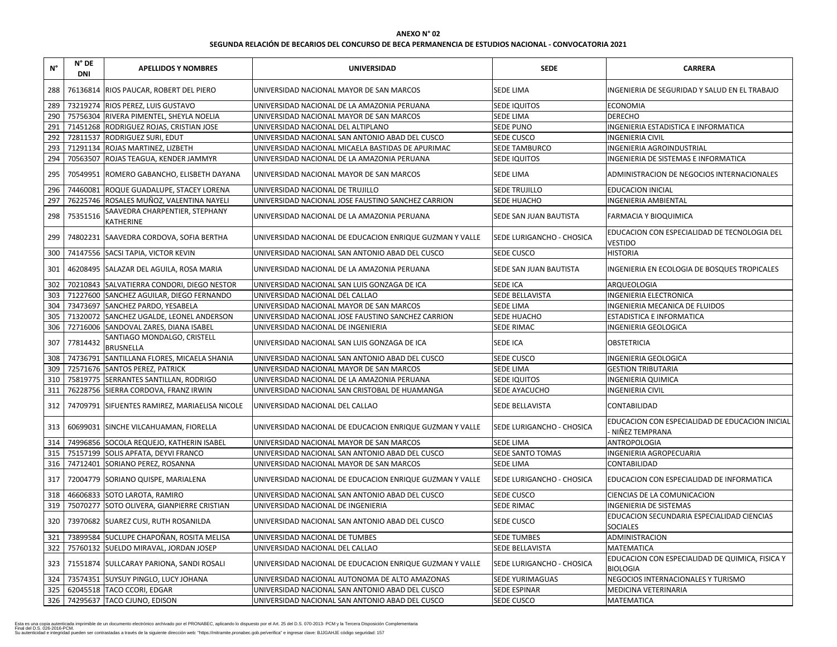## **SEGUNDA RELACIÓN DE BECARIOS DEL CONCURSO DE BECA PERMANENCIA DE ESTUDIOS NACIONAL - CONVOCATORIA 2021**

| $N^{\circ}$ | $N^{\circ}$ DE<br><b>DNI</b> | <b>APELLIDOS Y NOMBRES</b>                          | <b>UNIVERSIDAD</b>                                       | <b>SEDE</b>                      | <b>CARRERA</b>                                                     |
|-------------|------------------------------|-----------------------------------------------------|----------------------------------------------------------|----------------------------------|--------------------------------------------------------------------|
| 288         |                              | 76136814 RIOS PAUCAR, ROBERT DEL PIERO              | UNIVERSIDAD NACIONAL MAYOR DE SAN MARCOS                 | <b>SEDE LIMA</b>                 | INGENIERIA DE SEGURIDAD Y SALUD EN EL TRABAJO                      |
| 289         |                              | 73219274 RIOS PEREZ, LUIS GUSTAVO                   | UNIVERSIDAD NACIONAL DE LA AMAZONIA PERUANA              | SEDE IQUITOS                     | <b>ECONOMIA</b>                                                    |
| 290         |                              | 75756304 RIVERA PIMENTEL, SHEYLA NOELIA             | UNIVERSIDAD NACIONAL MAYOR DE SAN MARCOS                 | <b>SEDE LIMA</b>                 | <b>DERECHO</b>                                                     |
| 291         |                              | 71451268 RODRIGUEZ ROJAS, CRISTIAN JOSE             | UNIVERSIDAD NACIONAL DEL ALTIPLANO                       | <b>SEDE PUNO</b>                 | INGENIERIA ESTADISTICA E INFORMATICA                               |
| 292         |                              | 72811537 RODRIGUEZ SURI, EDUT                       | UNIVERSIDAD NACIONAL SAN ANTONIO ABAD DEL CUSCO          | <b>SEDE CUSCO</b>                | <b>INGENIERIA CIVIL</b>                                            |
| 293         |                              | 71291134 ROJAS MARTINEZ, LIZBETH                    | UNIVERSIDAD NACIONAL MICAELA BASTIDAS DE APURIMAC        | <b>SEDE TAMBURCO</b>             | INGENIERIA AGROINDUSTRIAL                                          |
| 294         |                              | 70563507 ROJAS TEAGUA, KENDER JAMMYR                | UNIVERSIDAD NACIONAL DE LA AMAZONIA PERUANA              | <b>SEDE IQUITOS</b>              | INGENIERIA DE SISTEMAS E INFORMATICA                               |
| 295         |                              | 70549951 ROMERO GABANCHO, ELISBETH DAYANA           | UNIVERSIDAD NACIONAL MAYOR DE SAN MARCOS                 | <b>SEDE LIMA</b>                 | ADMINISTRACION DE NEGOCIOS INTERNACIONALES                         |
| 296         |                              | 74460081 ROQUE GUADALUPE, STACEY LORENA             | UNIVERSIDAD NACIONAL DE TRUJILLO                         | <b>SEDE TRUJILLO</b>             | <b>EDUCACION INICIAL</b>                                           |
| 297         |                              | 76225746 ROSALES MUÑOZ, VALENTINA NAYELI            | UNIVERSIDAD NACIONAL JOSE FAUSTINO SANCHEZ CARRION       | SEDE HUACHO                      | <b>INGENIERIA AMBIENTAL</b>                                        |
| 298         | 75351516                     | SAAVEDRA CHARPENTIER, STEPHANY<br><b>KATHERINE</b>  | UNIVERSIDAD NACIONAL DE LA AMAZONIA PERUANA              | <b>SEDE SAN JUAN BAUTISTA</b>    | <b>FARMACIA Y BIOQUIMICA</b>                                       |
| 299         |                              | 74802231 SAAVEDRA CORDOVA, SOFIA BERTHA             | UNIVERSIDAD NACIONAL DE EDUCACION ENRIQUE GUZMAN Y VALLE | <b>SEDE LURIGANCHO - CHOSICA</b> | EDUCACION CON ESPECIALIDAD DE TECNOLOGIA DEL<br><b>VESTIDO</b>     |
| 300         |                              | 74147556 SACSI TAPIA, VICTOR KEVIN                  | UNIVERSIDAD NACIONAL SAN ANTONIO ABAD DEL CUSCO          | <b>SEDE CUSCO</b>                | <b>HISTORIA</b>                                                    |
| 301         |                              | 46208495 SALAZAR DEL AGUILA, ROSA MARIA             | UNIVERSIDAD NACIONAL DE LA AMAZONIA PERUANA              | SEDE SAN JUAN BAUTISTA           | INGENIERIA EN ECOLOGIA DE BOSQUES TROPICALES                       |
| 302         |                              | 70210843 SALVATIERRA CONDORI, DIEGO NESTOR          | UNIVERSIDAD NACIONAL SAN LUIS GONZAGA DE ICA             | SEDE ICA                         | ARQUEOLOGIA                                                        |
| 303         |                              | 71227600 SANCHEZ AGUILAR, DIEGO FERNANDO            | UNIVERSIDAD NACIONAL DEL CALLAO                          | SEDE BELLAVISTA                  | <b>INGENIERIA ELECTRONICA</b>                                      |
| 304         |                              | 73473697 SANCHEZ PARDO, YESABELA                    | UNIVERSIDAD NACIONAL MAYOR DE SAN MARCOS                 | <b>SEDE LIMA</b>                 | <b>INGENIERIA MECANICA DE FLUIDOS</b>                              |
| 305         |                              | 71320072 SANCHEZ UGALDE, LEONEL ANDERSON            | UNIVERSIDAD NACIONAL JOSE FAUSTINO SANCHEZ CARRION       | <b>SEDE HUACHO</b>               | <b>ESTADISTICA E INFORMATICA</b>                                   |
| 306         |                              | 72716006 SANDOVAL ZARES, DIANA ISABEL               | UNIVERSIDAD NACIONAL DE INGENIERIA                       | SEDE RIMAC                       | <b>INGENIERIA GEOLOGICA</b>                                        |
| 307         | 77814432                     | SANTIAGO MONDALGO, CRISTELL<br><b>BRUSNELLA</b>     | UNIVERSIDAD NACIONAL SAN LUIS GONZAGA DE ICA             | <b>SEDE ICA</b>                  | <b>OBSTETRICIA</b>                                                 |
| 308         |                              | 74736791 SANTILLANA FLORES, MICAELA SHANIA          | UNIVERSIDAD NACIONAL SAN ANTONIO ABAD DEL CUSCO          | SEDE CUSCO                       | <b>INGENIERIA GEOLOGICA</b>                                        |
| 309         |                              | 72571676 SANTOS PEREZ, PATRICK                      | UNIVERSIDAD NACIONAL MAYOR DE SAN MARCOS                 | <b>SEDE LIMA</b>                 | <b>GESTION TRIBUTARIA</b>                                          |
| 310         |                              | 75819775 SERRANTES SANTILLAN, RODRIGO               | UNIVERSIDAD NACIONAL DE LA AMAZONIA PERUANA              | SEDE IQUITOS                     | <b>INGENIERIA QUIMICA</b>                                          |
|             |                              | 311   76228756   SIERRA CORDOVA, FRANZ IRWIN        | UNIVERSIDAD NACIONAL SAN CRISTOBAL DE HUAMANGA           | <b>SEDE AYACUCHO</b>             | <b>INGENIERIA CIVIL</b>                                            |
|             |                              | 312   74709791 SIFUENTES RAMIREZ, MARIAELISA NICOLE | UNIVERSIDAD NACIONAL DEL CALLAO                          | <b>SEDE BELLAVISTA</b>           | <b>CONTABILIDAD</b>                                                |
| 313         |                              | 60699031 SINCHE VILCAHUAMAN, FIORELLA               | UNIVERSIDAD NACIONAL DE EDUCACION ENRIQUE GUZMAN Y VALLE | <b>SEDE LURIGANCHO - CHOSICA</b> | EDUCACION CON ESPECIALIDAD DE EDUCACION INICIAL<br>NIÑEZ TEMPRANA  |
| 314         |                              | 74996856 SOCOLA REQUEJO, KATHERIN ISABEL            | UNIVERSIDAD NACIONAL MAYOR DE SAN MARCOS                 | <b>SEDE LIMA</b>                 | <b>ANTROPOLOGIA</b>                                                |
| 315         |                              | 75157199 SOLIS APFATA, DEYVI FRANCO                 | UNIVERSIDAD NACIONAL SAN ANTONIO ABAD DEL CUSCO          | SEDE SANTO TOMAS                 | INGENIERIA AGROPECUARIA                                            |
| 316         |                              | 74712401 SORIANO PEREZ, ROSANNA                     | UNIVERSIDAD NACIONAL MAYOR DE SAN MARCOS                 | SEDE LIMA                        | <b>CONTABILIDAD</b>                                                |
| 317         |                              | 72004779 SORIANO QUISPE, MARIALENA                  | UNIVERSIDAD NACIONAL DE EDUCACION ENRIQUE GUZMAN Y VALLE | <b>SEDE LURIGANCHO - CHOSICA</b> | EDUCACION CON ESPECIALIDAD DE INFORMATICA                          |
| 318         |                              | 46606833 SOTO LAROTA, RAMIRO                        | UNIVERSIDAD NACIONAL SAN ANTONIO ABAD DEL CUSCO          | <b>SEDE CUSCO</b>                | CIENCIAS DE LA COMUNICACION                                        |
| 319         |                              | 75070277 SOTO OLIVERA, GIANPIERRE CRISTIAN          | UNIVERSIDAD NACIONAL DE INGENIERIA                       | <b>SEDE RIMAC</b>                | <b>INGENIERIA DE SISTEMAS</b>                                      |
| 320         |                              | 73970682 SUAREZ CUSI, RUTH ROSANILDA                | UNIVERSIDAD NACIONAL SAN ANTONIO ABAD DEL CUSCO          | <b>SEDE CUSCO</b>                | EDUCACION SECUNDARIA ESPECIALIDAD CIENCIAS<br><b>SOCIALES</b>      |
| 321         |                              | 73899584 SUCLUPE CHAPOÑAN, ROSITA MELISA            | UNIVERSIDAD NACIONAL DE TUMBES                           | <b>SEDE TUMBES</b>               | ADMINISTRACION                                                     |
| 322         |                              | 75760132 SUELDO MIRAVAL, JORDAN JOSEP               | UNIVERSIDAD NACIONAL DEL CALLAO                          | SEDE BELLAVISTA                  | <b>MATEMATICA</b>                                                  |
|             |                              | 323   71551874   SULLCARAY PARIONA, SANDI ROSALI    | UNIVERSIDAD NACIONAL DE EDUCACION ENRIQUE GUZMAN Y VALLE | <b>SEDE LURIGANCHO - CHOSICA</b> | EDUCACION CON ESPECIALIDAD DE QUIMICA, FISICA Y<br><b>BIOLOGIA</b> |
| 324         |                              | 73574351 SUYSUY PINGLO, LUCY JOHANA                 | UNIVERSIDAD NACIONAL AUTONOMA DE ALTO AMAZONAS           | SEDE YURIMAGUAS                  | NEGOCIOS INTERNACIONALES Y TURISMO                                 |
| 325         |                              | 62045518 TACO CCORI, EDGAR                          | UNIVERSIDAD NACIONAL SAN ANTONIO ABAD DEL CUSCO          | <b>SEDE ESPINAR</b>              | MEDICINA VETERINARIA                                               |
|             |                              | 326   74295637   TACO CJUNO, EDISON                 | UNIVERSIDAD NACIONAL SAN ANTONIO ABAD DEL CUSCO          | <b>SEDE CUSCO</b>                | <b>MATEMATICA</b>                                                  |

Esta es una copia autenticada imprimible de un documento electrónico archivado por el PRONABEC, aplicando lo dispuesto por el Art. 25 del D.S. 070-2013- PCM y la Tercera Disposición Complementaria<br>Final del D.S. 026-2016-P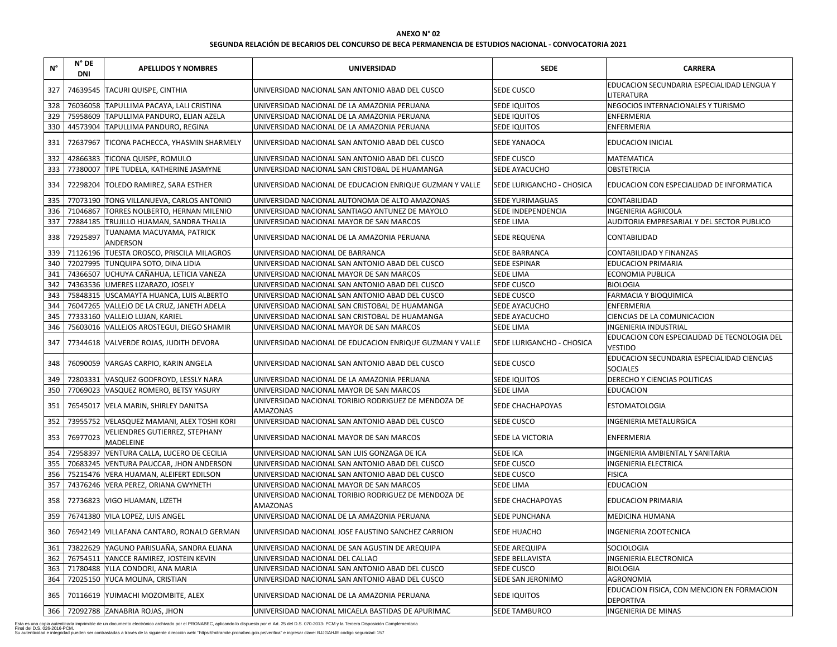| N°  | $N^{\circ}$ DE<br><b>DNI</b> | <b>APELLIDOS Y NOMBRES</b>                        | <b>UNIVERSIDAD</b>                                                      | <b>SEDE</b>                      | <b>CARRERA</b>                                                 |
|-----|------------------------------|---------------------------------------------------|-------------------------------------------------------------------------|----------------------------------|----------------------------------------------------------------|
| 327 |                              | 74639545   TACURI QUISPE, CINTHIA                 | UNIVERSIDAD NACIONAL SAN ANTONIO ABAD DEL CUSCO                         | <b>SEDE CUSCO</b>                | EDUCACION SECUNDARIA ESPECIALIDAD LENGUA Y<br>LITERATURA       |
| 328 |                              | 76036058 TAPULLIMA PACAYA, LALI CRISTINA          | UNIVERSIDAD NACIONAL DE LA AMAZONIA PERUANA                             | <b>SEDE IQUITOS</b>              | NEGOCIOS INTERNACIONALES Y TURISMO                             |
| 329 |                              | 75958609 TAPULLIMA PANDURO, ELIAN AZELA           | UNIVERSIDAD NACIONAL DE LA AMAZONIA PERUANA                             | SEDE IQUITOS                     | ENFERMERIA                                                     |
| 330 |                              | 44573904 TAPULLIMA PANDURO, REGINA                | UNIVERSIDAD NACIONAL DE LA AMAZONIA PERUANA                             | <b>SEDE IQUITOS</b>              | <b>ENFERMERIA</b>                                              |
| 331 |                              | 72637967 TICONA PACHECCA, YHASMIN SHARMELY        | JUNIVERSIDAD NACIONAL SAN ANTONIO ABAD DEL CUSCO                        | <b>SEDE YANAOCA</b>              | <b>EDUCACION INICIAL</b>                                       |
| 332 |                              | 42866383 TICONA QUISPE, ROMULO                    | UNIVERSIDAD NACIONAL SAN ANTONIO ABAD DEL CUSCO                         | <b>SEDE CUSCO</b>                | <b>MATEMATICA</b>                                              |
| 333 |                              | 77380007 TIPE TUDELA, KATHERINE JASMYNE           | UNIVERSIDAD NACIONAL SAN CRISTOBAL DE HUAMANGA                          | SEDE AYACUCHO                    | <b>OBSTETRICIA</b>                                             |
| 334 |                              | 72298204   TOLEDO RAMIREZ, SARA ESTHER            | UNIVERSIDAD NACIONAL DE EDUCACION ENRIQUE GUZMAN Y VALLE                | <b>SEDE LURIGANCHO - CHOSICA</b> | <b>EDUCACION CON ESPECIALIDAD DE INFORMATICA</b>               |
| 335 |                              | 77073190 TONG VILLANUEVA, CARLOS ANTONIO          | UNIVERSIDAD NACIONAL AUTONOMA DE ALTO AMAZONAS                          | <b>SEDE YURIMAGUAS</b>           | CONTABILIDAD                                                   |
| 336 |                              | 71046867 TORRES NOLBERTO, HERNAN MILENIO          | UNIVERSIDAD NACIONAL SANTIAGO ANTUNEZ DE MAYOLO                         | SEDE INDEPENDENCIA               | <b>INGENIERIA AGRICOLA</b>                                     |
| 337 |                              | 72884185 TRUJILLO HUAMAN, SANDRA THALIA           | UNIVERSIDAD NACIONAL MAYOR DE SAN MARCOS                                | <b>SEDE LIMA</b>                 | AUDITORIA EMPRESARIAL Y DEL SECTOR PUBLICO                     |
| 338 | 72925897                     | TUANAMA MACUYAMA, PATRICK<br>ANDERSON             | UNIVERSIDAD NACIONAL DE LA AMAZONIA PERUANA                             | <b>SEDE REQUENA</b>              | <b>CONTABILIDAD</b>                                            |
| 339 |                              | 71126196 TUESTA OROSCO, PRISCILA MILAGROS         | UNIVERSIDAD NACIONAL DE BARRANCA                                        | SEDE BARRANCA                    | CONTABILIDAD Y FINANZAS                                        |
| 340 |                              | 72027995 TUNQUIPA SOTO, DINA LIDIA                | UNIVERSIDAD NACIONAL SAN ANTONIO ABAD DEL CUSCO                         | <b>SEDE ESPINAR</b>              | <b>EDUCACION PRIMARIA</b>                                      |
| 341 |                              | 74366507 UCHUYA CAÑAHUA, LETICIA VANEZA           | UNIVERSIDAD NACIONAL MAYOR DE SAN MARCOS                                | <b>SEDE LIMA</b>                 | <b>ECONOMIA PUBLICA</b>                                        |
| 342 |                              | 74363536 UMERES LIZARAZO, JOSELY                  | UNIVERSIDAD NACIONAL SAN ANTONIO ABAD DEL CUSCO                         | SEDE CUSCO                       | <b>BIOLOGIA</b>                                                |
| 343 |                              | 75848315 USCAMAYTA HUANCA, LUIS ALBERTO           | UNIVERSIDAD NACIONAL SAN ANTONIO ABAD DEL CUSCO                         | SEDE CUSCO                       | <b>FARMACIA Y BIOQUIMICA</b>                                   |
| 344 |                              | 76047265 VALLEJO DE LA CRUZ, JANETH ADELA         | UNIVERSIDAD NACIONAL SAN CRISTOBAL DE HUAMANGA                          | SEDE AYACUCHO                    | <b>ENFERMERIA</b>                                              |
| 345 |                              | 77333160 VALLEJO LUJAN, KARIEL                    | UNIVERSIDAD NACIONAL SAN CRISTOBAL DE HUAMANGA                          | SEDE AYACUCHO                    | CIENCIAS DE LA COMUNICACION                                    |
| 346 |                              | 75603016 VALLEJOS AROSTEGUI, DIEGO SHAMIR         | UNIVERSIDAD NACIONAL MAYOR DE SAN MARCOS                                | <b>SEDE LIMA</b>                 | <b>INGENIERIA INDUSTRIAL</b>                                   |
| 347 |                              | 77344618 VALVERDE ROJAS, JUDITH DEVORA            | UNIVERSIDAD NACIONAL DE EDUCACION ENRIQUE GUZMAN Y VALLE                | <b>SEDE LURIGANCHO - CHOSICA</b> | EDUCACION CON ESPECIALIDAD DE TECNOLOGIA DEL<br><b>VESTIDO</b> |
|     |                              | 348   76090059   VARGAS CARPIO, KARIN ANGELA      | UNIVERSIDAD NACIONAL SAN ANTONIO ABAD DEL CUSCO                         | <b>SEDE CUSCO</b>                | EDUCACION SECUNDARIA ESPECIALIDAD CIENCIAS<br><b>SOCIALES</b>  |
| 349 |                              | 72803331 VASQUEZ GODFROYD, LESSLY NARA            | UNIVERSIDAD NACIONAL DE LA AMAZONIA PERUANA                             | SEDE IQUITOS                     | DERECHO Y CIENCIAS POLITICAS                                   |
|     |                              | 350 77069023 VASQUEZ ROMERO, BETSY YASURY         | UNIVERSIDAD NACIONAL MAYOR DE SAN MARCOS                                | <b>SEDE LIMA</b>                 | <b>EDUCACION</b>                                               |
| 351 |                              | 76545017   VELA MARIN, SHIRLEY DANITSA            | UNIVERSIDAD NACIONAL TORIBIO RODRIGUEZ DE MENDOZA DE<br><b>AMAZONAS</b> | <b>SEDE CHACHAPOYAS</b>          | <b>ESTOMATOLOGIA</b>                                           |
| 352 |                              | 73955752 VELASQUEZ MAMANI, ALEX TOSHI KORI        | UNIVERSIDAD NACIONAL SAN ANTONIO ABAD DEL CUSCO                         | <b>SEDE CUSCO</b>                | INGENIERIA METALURGICA                                         |
| 353 | 76977023                     | VELIENDRES GUTIERREZ, STEPHANY<br>MADELEINE       | UNIVERSIDAD NACIONAL MAYOR DE SAN MARCOS                                | <b>SEDE LA VICTORIA</b>          | <b>ENFERMERIA</b>                                              |
| 354 |                              | 72958397 VENTURA CALLA, LUCERO DE CECILIA         | UNIVERSIDAD NACIONAL SAN LUIS GONZAGA DE ICA                            | <b>SEDE ICA</b>                  | INGENIERIA AMBIENTAL Y SANITARIA                               |
| 355 |                              | 70683245 VENTURA PAUCCAR, JHON ANDERSON           | UNIVERSIDAD NACIONAL SAN ANTONIO ABAD DEL CUSCO                         | SEDE CUSCO                       | <b>INGENIERIA ELECTRICA</b>                                    |
| 356 |                              | 75215476   VERA HUAMAN, ALEIFERT EDILSON          | UNIVERSIDAD NACIONAL SAN ANTONIO ABAD DEL CUSCO                         | <b>SEDE CUSCO</b>                | <b>FISICA</b>                                                  |
| 357 |                              | 74376246 VERA PEREZ, ORIANA GWYNETH               | UNIVERSIDAD NACIONAL MAYOR DE SAN MARCOS                                | <b>SEDE LIMA</b>                 | <b>EDUCACION</b>                                               |
| 358 |                              | 72736823   VIGO HUAMAN, LIZETH                    | UNIVERSIDAD NACIONAL TORIBIO RODRIGUEZ DE MENDOZA DE<br><b>AMAZONAS</b> | <b>SEDE CHACHAPOYAS</b>          | <b>EDUCACION PRIMARIA</b>                                      |
| 359 |                              | 76741380 VILA LOPEZ, LUIS ANGEL                   | UNIVERSIDAD NACIONAL DE LA AMAZONIA PERUANA                             | <b>SEDE PUNCHANA</b>             | MEDICINA HUMANA                                                |
|     |                              | 360   76942149   VILLAFANA CANTARO, RONALD GERMAN | UNIVERSIDAD NACIONAL JOSE FAUSTINO SANCHEZ CARRION                      | <b>SEDE HUACHO</b>               | <b>INGENIERIA ZOOTECNICA</b>                                   |
| 361 |                              | 73822629 YAGUNO PARISUAÑA, SANDRA ELIANA          | UNIVERSIDAD NACIONAL DE SAN AGUSTIN DE AREQUIPA                         | <b>SEDE AREQUIPA</b>             | SOCIOLOGIA                                                     |
| 362 |                              | 76754511 YANCCE RAMIREZ, JOSTEIN KEVIN            | UNIVERSIDAD NACIONAL DEL CALLAO                                         | <b>SEDE BELLAVISTA</b>           | <b>INGENIERIA ELECTRONICA</b>                                  |
| 363 |                              | 71780488 YLLA CONDORI, ANA MARIA                  | UNIVERSIDAD NACIONAL SAN ANTONIO ABAD DEL CUSCO                         | <b>SEDE CUSCO</b>                | <b>BIOLOGIA</b>                                                |
| 364 |                              | 72025150 YUCA MOLINA, CRISTIAN                    | UNIVERSIDAD NACIONAL SAN ANTONIO ABAD DEL CUSCO                         | SEDE SAN JERONIMO                | <b>AGRONOMIA</b>                                               |
| 365 |                              | 70116619 YUIMACHI MOZOMBITE, ALEX                 | UNIVERSIDAD NACIONAL DE LA AMAZONIA PERUANA                             | <b>SEDE IQUITOS</b>              | EDUCACION FISICA, CON MENCION EN FORMACION<br><b>DEPORTIVA</b> |
|     |                              | 366   72092788   ZANABRIA ROJAS, JHON             | UNIVERSIDAD NACIONAL MICAELA BASTIDAS DE APURIMAC                       | <b>SEDE TAMBURCO</b>             | <b>INGENIERIA DE MINAS</b>                                     |

| <b>CARRERA</b>                 |
|--------------------------------|
| NDARIA ESPECIALIDAD LENGUA Y   |
| <b>IACIONALES Y TURISMO</b>    |
|                                |
|                                |
| ۹L                             |
|                                |
|                                |
| ESPECIALIDAD DE INFORMATICA    |
|                                |
| 20LA                           |
| ESARIAL Y DEL SECTOR PUBLICO   |
|                                |
| <b>INANZAS</b>                 |
| ARIA                           |
| CA                             |
|                                |
| <b>UIMICA</b>                  |
|                                |
| <b>DMUNICACION</b>             |
| <b>STRIAL</b>                  |
| ESPECIALIDAD DE TECNOLOGIA DEL |
| NDARIA ESPECIALIDAD CIENCIAS   |
| <b>IAS POLITICAS</b>           |
|                                |
|                                |
| LURGICA                        |
|                                |
| ENTAL Y SANITARIA              |
| <b>RICA</b>                    |
|                                |
|                                |
| ARIA                           |
| NА                             |
| <b>ECNICA</b>                  |
|                                |
| <b>RONICA</b>                  |
|                                |
|                                |
| A, CON MENCION EN FORMACION    |
| <b>NAS</b>                     |